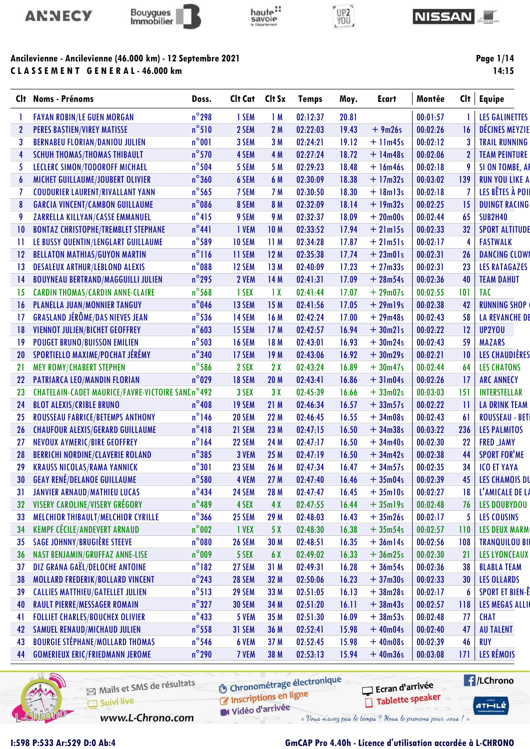





# UP2<br>YOU



Page 1/14 14:15

### Ancilevienne - Ancilevienne (46.000 km) - 12 Septembre 2021 C L A S S E M E N T G E N E R A L - 46.000 km

| Clt          | <b>Noms - Prénoms</b>                             | Doss.           | Clt Cat       | Clt Sx          | <b>Temps</b> | Moy.  | <b>Ecart</b>  | Montée   | Clt          | <b>Equipe</b>          |
|--------------|---------------------------------------------------|-----------------|---------------|-----------------|--------------|-------|---------------|----------|--------------|------------------------|
|              | <b>FAYAN ROBIN/LE GUEN MORGAN</b>                 | $n^{\circ}$ 298 | 1 SEM         | 1M              | 02:12:37     | 20.81 |               | 00:01:57 |              | LES GALINETTES         |
| $\mathbf{2}$ | <b>PERES BASTIEN/VIREY MATISSE</b>                | $n^{\circ}510$  | 2 SEM         | 2 M             | 02:22:03     | 19.43 | $+9m26s$      | 00:02:26 | 16           | <b>DÉCINES MEYZIE</b>  |
| 3            | <b>BERNABEU FLORIAN/DANIOU JULIEN</b>             | $n^{\circ}001$  | 3 SEM         | 3M              | 02:24:21     | 19.12 | $+$ 11 $m45s$ | 00:02:12 |              | <b>TRAIL RUNNING</b>   |
| 4            | <b>SCHUH THOMAS/THOMAS THIBAULT</b>               | $n^{\circ}$ 570 | 4 SEM         | 4 M             | 02:27:24     | 18.72 | $+ 14m48s$    | 00:02:06 |              | <b>TEAM PEINTURE</b>   |
| 5.           | LECLERC SIMON/TODOROFF MICHAEL                    | $n^{\circ}$ 504 | 5 SEM         | 5 M             | 02:29:23     | 18.48 | $+ 16m46s$    | 00:02:18 | 9            | SI ON TOMBE, AI        |
| 6            | <b>MICHET GUILLAUME/JOUBERT OLIVIER</b>           | $n^{\circ}360$  | 6 SEM         | 6 M             | 02:30:09     | 18.38 | $+17m32s$     | 00:03:02 | 139          | <b>RUN YOU LIKE A</b>  |
|              | <b>COUDURIER LAURENT/RIVALLANT YANN</b>           | $n^{\circ}$ 565 | 7 SEM         | 7 M             | 02:30:50     | 18.30 | $+$ 18m13s    | 00:02:18 |              | LES BÊTES À POII       |
| 8            | <b>GARCIA VINCENT/CAMBON GUILLAUME</b>            | $n^{\circ}$ 086 | 8 SEM         | 8 M             | 02:32:09     | 18.14 | $+19m32s$     | 00:02:25 | 15           | <b>DUINGT RACING</b>   |
| 9            | ZARRELLA KILLYAN/CASSE EMMANUEL                   | $n^{\circ}415$  | 9 SEM         | 9 M             | 02:32:37     | 18.09 | $+20m00s$     | 00:02:44 | 65           | <b>SUB2H40</b>         |
| 10           | <b>BONTAZ CHRISTOPHE/TREMBLET STEPHANE</b>        | $n^{\circ}441$  | <b>I VEM</b>  | 10 <sub>M</sub> | 02:33:52     | 17.94 | $+21$ m $15s$ | 00:02:33 | 32           | <b>SPORT ALTITUDE</b>  |
| П            | LE BUSSY QUENTIN/LENGLART GUILLAUME               | $n^{\circ}$ 589 | <b>10 SEM</b> | 11M             | 02:34:28     | 17.87 | $+21m51s$     | 00:02:17 | 4            | <b>FASTWALK</b>        |
| $12 \,$      | <b>BELLATON MATHIAS/GUYON MARTIN</b>              | $n^{\circ}116$  | 11 SEM        | 12M             | 02:35:38     | 17.74 | $+23m01s$     | 00:02:31 | 26           | <b>DANCING CLOWI</b>   |
| 13           | <b>DESALEUX ARTHUR/LEBLOND ALEXIS</b>             | $n^{\circ}$ 088 | <b>12 SEM</b> | 13M             | 02:40:09     | 17.23 | $+27m33s$     | 00:02:31 | 23           | <b>LES RATAGAZES</b>   |
| 14           | <b>BOUYNEAU BERTRAND/MAGGUILLI JULIEN</b>         | $n^{\circ}$ 295 | 2 VEM         | 14M             | 02:41:31     | 17.09 | $+28m54s$     | 00:02:36 | 40           | <b>TEAM DAHUT</b>      |
| 15           | <b>CARDIN THOMAS/CARDIN ANNE-CLAIRE</b>           | $n^{\circ}$ 568 | 1 SEX         | $\overline{1}x$ | 02:41:44     | 17.07 | $+29m07s$     | 00:02:55 | 101          | <b>TAC</b>             |
| 16           | PLANELLA JUAN/MONNIER TANGUY                      | $n^{\circ}$ 046 | 13 SEM        | 15M             | 02:41:56     | 17.05 | $+29$ ml9s    | 00:02:38 | 42           | <b>RUNNING SHOP</b>    |
| 17           | <b>GRASLAND JÉRÔME/DAS NIEVES JEAN</b>            | $n^{\circ}$ 536 | <b>14 SEM</b> | 16 M            | 02:42:24     | 17.00 | $+29m48s$     | 00:02:43 | 58           | <b>LA REVANCHE DE</b>  |
| 18           | VIENNOT JULIEN/BICHET GEOFFREY                    | $n^{\circ}603$  | <b>15 SEM</b> | 17M             | 02:42:57     | 16.94 | $+30m21s$     | 00:02:22 | 12           | UP2YOU                 |
| 19           | <b>POUGET BRUNO/BUISSON EMILIEN</b>               | $n^{\circ}$ 503 | <b>16 SEM</b> | 18 M            | 02:43:01     | 16.93 | $+30m24s$     | 00:02:43 | 59           | <b>MAZARS</b>          |
| 20           | SPORTIELLO MAXIME/POCHAT JÉRÉMY                   | $n^{\circ}$ 340 | 17 SEM        | 19 <sub>M</sub> | 02:43:06     | 16.92 | $+30m29s$     | 00:02:21 | 10           | <b>LES CHAUDIÈRES</b>  |
| 21           | <b>MEY ROMY/CHABERT STEPHEN</b>                   | $n^{\circ}$ 586 | 2 SEX         | 2X              | 02:43:24     | 16.89 | $+30m47s$     | 00:02:44 | 64           | <b>LES CHATONS</b>     |
| 22           | <b>PATRIARCA LEO/MANDIN FLORIAN</b>               | $n^{\circ}$ 029 | <b>18 SEM</b> | 20 <sub>M</sub> | 02:43:41     | 16.86 | $+31m04s$     | 00:02:26 | 17           | <b>ARC ANNECY</b>      |
| 23           | CHATELAIN-CADET MAURICE/FAVRE-VICTOIRE SANE n°492 |                 | 3 SEX         | 3X              | 02:45:39     | 16.66 | $+33m02s$     | 00:03:03 | 151          | <b>INTERSTELLAR</b>    |
| 24           | <b>BLOT ALEXIS/CRIBLE BRUNO</b>                   | $n^{\circ}$ 408 | <b>19 SEM</b> | 21M             | 02:46:34     | 16.57 | $+33m57s$     | 00:02:22 | $\mathbf{1}$ | LA DRINK TEAM          |
| 25           | ROUSSEAU FABRICE/BETEMPS ANTHONY                  | $n^{\circ}$ 146 | 20 SEM        | 22 M            | 02:46:45     | 16.55 | $+34m08s$     | 00:02:43 | 61           | <b>ROUSSEAU - BETI</b> |
| 26           | <b>CHAUFOUR ALEXIS/GERARD GUILLAUME</b>           | $n^{\circ}418$  | 21 SEM        | 23 M            | 02:47:15     | 16.50 | $+34m38s$     | 00:03:22 | 236          | <b>LES PALMITOS</b>    |
| 27           | NEVOUX AYMERIC/BIRE GEOFFREY                      | $n^{\circ}$ 164 | 22 SEM        | 24 M            | 02:47:17     | 16.50 | $+34m40s$     | 00:02:30 | 22           | <b>FRED JAMY</b>       |
| 28           | <b>BERRICHI NORDINE/CLAVERIE ROLAND</b>           | $n^{\circ}385$  | 3 VEM         | 25 M            | 02:47:19     | 16.50 | $+34m42s$     | 00:02:38 | 44           | <b>SPORT FOR'ME</b>    |
| 29           | <b>KRAUSS NICOLAS/RAMA YANNICK</b>                | $n^{\circ}301$  | 23 SEM        | 26 M            | 02:47:34     | 16.47 | $+34m57s$     | 00:02:35 | 34           | <b>ICO ET YAYA</b>     |
| 30           | <b>GEAY RENÉ/DELANOE GUILLAUME</b>                | $n^{\circ}$ 580 | 4 VEM         | 27M             | 02:47:40     | 16.46 | $+35m04s$     | 00:02:39 | 45           | LES CHAMOIS DU         |
| 31           | JANVIER ARNAUD/MATHIEU LUCAS                      | $n^{\circ}434$  | <b>24 SEM</b> | 28 M            | 02:47:47     | 16.45 | $+35$ ml0s    | 00:02:27 | 18           | L'AMICALE DE LA        |
| 32           | VISERY CAROLINE/VISERY GRÉGORY                    | $n^{\circ}$ 489 | 4 SEX         | 4X              | 02:47:55     | 16.44 | $+35$ ml9s    | 00:02:48 | 76           | <b>LES DOUBYDOU</b>    |
| 33           | MELCHIOR THIBAULT/MELCHIOR CYRILLE                | $n^{\circ}$ 366 | 25 SEM        | 29 M            | 02:48:03     | 16.43 | $+35m26s$     | 00:02:17 | 5            | <b>LES COUSINS</b>     |
| 34           | <b>KEMPF CÉCILE/ANDEVERT ARNAUD</b>               | $n^{\circ}$ 002 | 1 VEX         | 5 X             | 02:48:30     | 16.38 | $+35m54s$     | 00:02:57 | 110          | <b>LES DEUX MARM</b>   |
| 35           | <b>SAGE JOHNNY/BRUGIÈRE STEEVE</b>                | $n^{\circ}080$  | <b>26 SEM</b> | 30 M            | 02:48:51     | 16.35 | $+36m14s$     | 00:02:56 | 108          | <b>TRANQUILOU BII</b>  |
| 36           | NAST BENJAMIN/GRUFFAZ ANNE-LISE                   | $n^{\circ}$ 009 | 5 SEX         | 6 X             | 02:49:02     | 16.33 | $+36m25s$     | 00:02:30 | 21           | <b>LES LYONCEAUX</b>   |
| 37           | DIZ GRANA GAËL/DELOCHE ANTOINE                    | $n^{\circ}182$  | 27 SEM        | 31M             | 02:49:31     | 16.28 | $+36m54s$     | 00:02:36 | 38           | <b>BLABLA TEAM</b>     |
| 38           | MOLLARD FREDERIK/BOLLARD VINCENT                  | $n^{\circ}$ 243 | <b>28 SEM</b> | 32 M            | 02:50:06     | 16.23 | $+37m30s$     | 00:02:33 | 30           | <b>LES OLLARDS</b>     |
| 39           | <b>CALLIES MATTHIEU/GATELLET JULIEN</b>           | $n^{\circ}513$  | 29 SEM        | 33 M            | 02:51:05     | 16.13 | $+38m28s$     | 00:02:17 | 6            | <b>SPORT ET BIEN-Ê</b> |
| 40           | <b>RAULT PIERRE/MESSAGER ROMAIN</b>               | $n^{\circ}327$  | <b>30 SEM</b> | 34 M            | 02:51:20     | 16.11 | $+38m43s$     | 00:02:57 | 118          | LES MEGAS ALLI         |
| 41           | <b>FOLLIET CHARLES/BOUCHEX OLIVIER</b>            | $n^{\circ}$ 433 | 5 VEM         | 35 M            | 02:51:30     | 16.09 | $+38m53s$     | 00:02:48 | 77           | <b>CHAT</b>            |
| 42           | SAMUEL RENAUD/MICHAUD JULIEN                      | $n^{\circ}$ 558 | 31 SEM        | 36 M            | 02:52:41     | 15.98 | $+40m04s$     | 00:02:40 | 47           | <b>AU TALENT</b>       |
| 43           | <b>BOURGIE STÉPHANE/MOLLARD THOMAS</b>            | $n^{\circ}$ 546 | 6 VEM         | 37 <sub>M</sub> | 02:52:45     | 15.98 | $+40m08s$     | 00:02:39 | 46           | <b>RUY</b>             |
| 44           | <b>GOMERIEUX ERIC/FRIEDMANN JEROME</b>            | $n^{\circ}$ 290 | 7 VEM         | 38 M            | 02:53:13     | 15.94 | $+40m36s$     | 00:03:08 | 171          | LES RÉMOIS             |
|              |                                                   |                 |               |                 |              |       |               |          |              |                        |



Mails et SMS de résultats Suivi live www.L-Chrono.com

**6** Chronométrage électronique C Inscriptions en ligne

Vidéo d'arrivée

Ecran d'arrivée

 $ATHLE$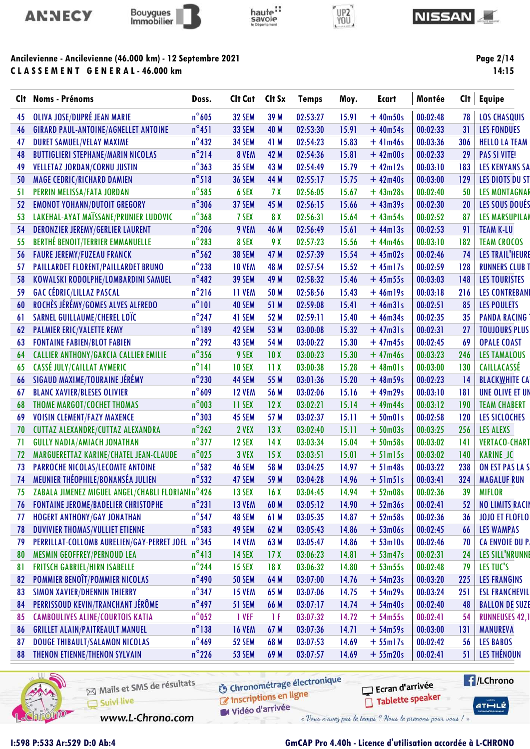



CLASSEMENT GENERAL-46.000 km

# haute:



#### **NISSAN**

Page 2/14

 $14:15$ 

| Clt | <b>Noms - Prénoms</b>                            | Doss.           | Clt Cat       | Clt Sx          | <b>Temps</b> | Moy.  | <b>Ecart</b>   | Montée   | Cl <sub>t</sub> | <b>Equipe</b>          |
|-----|--------------------------------------------------|-----------------|---------------|-----------------|--------------|-------|----------------|----------|-----------------|------------------------|
| 45  | OLIVA JOSE/DUPRÉ JEAN MARIE                      | $n^{\circ}$ 605 | <b>32 SEM</b> | 39 M            | 02:53:27     | 15.91 | $+40m50s$      | 00:02:48 | 78              | <b>LOS CHASQUIS</b>    |
| 46  | <b>GIRARD PAUL-ANTOINE/AGNELLET ANTOINE</b>      | $n^{\circ}451$  | 33 SEM        | 40 M            | 02:53:30     | 15.91 | $+40m54s$      | 00:02:33 | 31              | <b>LES FONDUES</b>     |
| 47  | <b>DURET SAMUEL/VELAY MAXIME</b>                 | $n^{\circ}$ 432 | 34 SEM        | 41 M            | 02:54:23     | 15.83 | $+41m46s$      | 00:03:36 | 306             | <b>HELLO LA TEAM</b>   |
| 48  | <b>BUTTIGLIERI STEPHANE/MARIN NICOLAS</b>        | $n^{\circ}$ 214 | 8 VEM         | 42 M            | 02:54:36     | 15.81 | $+42m00s$      | 00:02:33 | 29              | <b>PAS SI VITE!</b>    |
| 49  | <b>VELLETAZ JORDAN/CORNU JUSTIN</b>              | $n^{\circ}363$  | <b>35 SEM</b> | 43 M            | 02:54:49     | 15.79 | $+42ml2s$      | 00:03:10 | 183             | <b>LES KENYANS SA</b>  |
| 50  | <b>MAGE CEDRIC/RICHARD DAMIEN</b>                | $n^{\circ}518$  | <b>36 SEM</b> | 44 M            | 02:55:17     | 15.75 | $+42m40s$      | 00:03:00 | 129             | <b>LES DIOTS DU ST</b> |
| 51  | PERRIN MELISSA/FATA JORDAN                       | $n^{\circ}$ 585 | 6 SEX         | 7 <sub>X</sub>  | 02:56:05     | 15.67 | $+43m28s$      | 00:02:40 | 50              | <b>LES MONTAGNAR</b>   |
| 52  | <b>EMONOT YOHANN/DUTOIT GREGORY</b>              | $n^{\circ}$ 306 | 37 SEM        | 45 M            | 02:56:15     | 15.66 | $+43m39s$      | 00:02:30 | 20              | LES SOUS DOUÉS         |
| 53  | LAKEHAL-AYAT MAÏSSANE/PRUNIER LUDOVIC            | $n^{\circ}368$  | 7 SEX         | 8 X             | 02:56:31     | 15.64 | $+43m54s$      | 00:02:52 | 87              | <b>LES MARSUPILAN</b>  |
| 54  | <b>DERONZIER JEREMY/GERLIER LAURENT</b>          | $n^{\circ}$ 206 | 9 VEM         | 46 M            | 02:56:49     | 15.61 | $+44$ ml $3s$  | 00:02:53 | 91              | <b>TEAM K-LU</b>       |
| 55  | <b>BERTHÉ BENOIT/TERRIER EMMANUELLE</b>          | $n^{\circ}$ 283 | 8 SEX         | 9 X             | 02:57:23     | 15.56 | $+44m46s$      | 00:03:10 | 182             | <b>TEAM CROCOS</b>     |
| 56  | <b>FAURE JEREMY/FUZEAU FRANCK</b>                | $n^{\circ}$ 562 | <b>38 SEM</b> | 47 M            | 02:57:39     | 15.54 | $+45m02s$      | 00:02:46 | 74              | <b>LES TRAIL'HEURE</b> |
| 57  | PAILLARDET FLORENT/PAILLARDET BRUNO              | $n^{\circ}$ 238 | <b>10 VEM</b> | 48 M            | 02:57:54     | 15.52 | $+45m17s$      | 00:02:59 | 128             | <b>RUNNERS CLUB T</b>  |
| 58  | KOWALSKI RODOLPHE/LOMBARDINI SAMUEL              | $n^{\circ}482$  | <b>39 SEM</b> | 49 M            | 02:58:32     | 15.46 | $+45m55s$      | 00:03:03 | 148             | <b>LES TOURISTES</b>   |
| 59  | <b>GAC CÉDRIC/LILLAZ PASCAL</b>                  | $n^{\circ}$ 216 | 11 VEM        | 50 M            | 02:58:56     | 15.43 | $+46$ ml9s     | 00:03:18 | 216             | <b>LES CONTREBANI</b>  |
| 60  | ROCHÈS JÉRÉMY/GOMES ALVES ALFREDO                | $n^{\circ}101$  | 40 SEM        | 51 M            | 02:59:08     | 15.41 | $+46m31s$      | 00:02:51 | 85              | <b>LES POULETS</b>     |
| 61  | SARNEL GUILLAUME/CHEREL LOÏC                     | $n^{\circ}$ 247 | 41 SEM        | 52 M            | 02:59:11     | 15.40 | $+46m34s$      | 00:02:35 | 35              | <b>PANDA RACING</b>    |
| 62  | <b>PALMIER ERIC/VALETTE REMY</b>                 | $n^{\circ}189$  | 42 SEM        | 53 M            | 03:00:08     | 15.32 | $+47m31s$      | 00:02:31 | 27              | <b>TOUJOURS PLUS</b>   |
| 63  | <b>FONTAINE FABIEN/BLOT FABIEN</b>               | $n^{\circ}$ 292 | 43 SEM        | 54 M            | 03:00:22     | 15.30 | $+47m45s$      | 00:02:45 | 69              | <b>OPALE COAST</b>     |
| 64  | <b>CALLIER ANTHONY/GARCIA CALLIER EMILIE</b>     | $n^{\circ}$ 356 | 9 SEX         | 10X             | 03:00:23     | 15.30 | $+47m46s$      | 00:03:23 | 246             | <b>LES TAMALOUS</b>    |
| 65  | CASSÉ JULY/CAILLAT AYMERIC                       | $n^{\circ}$ 141 | <b>10 SEX</b> | 11X             | 03:00:38     | 15.28 | $+48m01s$      | 00:03:00 | 130             | <b>CAILLACASSÉ</b>     |
| 66  | SIGAUD MAXIME/TOURAINE JÉRÉMY                    | $n^{\circ}$ 230 | 44 SEM        | 55 M            | 03:01:36     | 15.20 | $+48m59s$      | 00:02:23 | 14              | <b>BLACKWHITE CA</b>   |
| 67  | <b>BLANC XAVIER/BLESES OLIVIER</b>               | $n^{\circ}609$  | <b>12 VEM</b> | 56 M            | 03:02:06     | 15.16 | $+49m29s$      | 00:03:10 | 181             | UNE OLIVE ET UN        |
| 68  | THOME MARGOT/COCHET THOMAS                       | $n^{\circ}$ 003 | 11 SEX        | 12X             | 03:02:21     | 15.14 | $+49m44s$      | 00:03:12 | 190             | <b>TEAM CHABERT</b>    |
| 69  | <b>VOISIN CLEMENT/FAZY MAXENCE</b>               | $n^{\circ}303$  | 45 SEM        | 57 M            | 03:02:37     | 15.11 | $+50m01s$      | 00:02:58 | 120             | LES SICLOCHES          |
| 70  | CUTTAZ ALEXANDRE/CUTTAZ ALEXANDRA                | $n^{\circ}$ 262 | 2 VEX         | 13X             | 03:02:40     | 15.11 | $+50m03s$      | 00:03:25 | 256             | LES ALEXS              |
| 71  | <b>GULLY NADIA/AMIACH JONATHAN</b>               | $n^{\circ}$ 377 | <b>12 SEX</b> | 14X             | 03:03:34     | 15.04 | $+50m58s$      | 00:03:02 | 141             | <b>VERTACO-CHART</b>   |
| 72  | MARGUERETTAZ KARINE/CHATEL JEAN-CLAUDE           | $n^{\circ}$ 025 | 3 VEX         | 15X             | 03:03:51     | 15.01 | $+5$ lm $15s$  | 00:03:02 | 140             | <b>KARINE JC</b>       |
| 73  | PARROCHE NICOLAS/LECOMTE ANTOINE                 | $n^{\circ}$ 582 | 46 SEM        | 58 M            | 03:04:25     | 14.97 | $+51m48s$      | 00:03:22 | 238             | ON EST PAS LA S        |
| 74  | MEUNIER THÉOPHILE/BONANSÉA JULIEN                | $n^{\circ}$ 532 | 47 SEM        | 59 M            | 03:04:28     | 14.96 | $+5$ lm $5$ ls | 00:03:41 | 324             | <b>MAGALUF RUN</b>     |
| 75  | ZABALA JIMENEZ MIGUEL ANGEL/CHABLI FLORIANIn°426 |                 | <b>13 SEX</b> | 16X             | 03:04:45     | 14.94 | $+52m08s$      | 00:02:36 | 39              | <b>MIFLOR</b>          |
| 76  | <b>FONTAINE JEROME/BADELIER CHRISTOPHE</b>       | $n^{\circ}231$  | <b>13 VEM</b> | 60 M            | 03:05:12     | 14.90 | $+52m36s$      | 00:02:41 | 52              | <b>NO LIMITS RACIN</b> |
| 77  | <b>HOGERT ANTHONY/GAY JONATHAN</b>               | $n^{\circ}$ 547 | 48 SEM        | 61 M            | 03:05:35     | 14.87 | $+52m58s$      | 00:02:36 | 36              | <b>JOJO ET FLOFLO</b>  |
| 78  | <b>DUVIVIER THOMAS/VULLIET ETIENNE</b>           | $n^{\circ}$ 583 | 49 SEM        | 62 M            | 03:05:43     | 14.86 | $+53m06s$      | 00:02:45 | 66              | LES WAMPAS             |
| 79  | PERRILLAT-COLLOMB AURELIEN/GAY-PERRET JOEL n°345 |                 | <b>14 VEM</b> | 63 M            | 03:05:47     | 14.86 | $+53$ ml0s     | 00:02:46 | 70              | <b>CA ENVOIE DU P.</b> |
| 80  | <b>MESMIN GEOFFREY/PERNOUD LEA</b>               | $n^{\circ}413$  | <b>14 SEX</b> | 17 <sub>X</sub> | 03:06:23     | 14.81 | $+ 53m47s$     | 00:02:31 | 24              | <b>LES SILL'NRUNNE</b> |
| 81  | <b>FRITSCH GABRIEL/HIRN ISABELLE</b>             | $n^{\circ}$ 244 | <b>15 SEX</b> | 18 <sub>X</sub> | 03:06:32     | 14.80 | $+ 53m55s$     | 00:02:48 | 79              | LES TUC'S              |
| 82  | POMMIER BENOÎT/POMMIER NICOLAS                   | $n^{\circ}$ 490 | <b>50 SEM</b> | 64 M            | 03:07:00     | 14.76 | $+54m23s$      | 00:03:20 | 225             | <b>LES FRANGINS</b>    |
| 83  | <b>SIMON XAVIER/DHENNIN THIERRY</b>              | $n^{\circ}$ 347 | <b>15 VEM</b> | 65 M            | 03:07:06     | 14.75 | $+54m29s$      | 00:03:24 | 251             | <b>ESL FRANCHEVIL</b>  |
| 84  | PERRISSOUD KEVIN/TRANCHANT JÉRÔME                | $n^{\circ}$ 497 | 51 SEM        | 66 M            | 03:07:17     | 14.74 | $+ 54m40s$     | 00:02:40 | 48              | <b>BALLON DE SUZE</b>  |
| 85  | <b>CAMBOULIVES ALINE/COURTOIS KATIA</b>          | $n^{\circ}$ 052 | 1 VEF         | 1 F             | 03:07:32     | 14.72 | $+54m55s$      | 00:02:41 | 54              | <b>RUNNEUSES 42,1</b>  |
| 86  | <b>GRILLET ALAIN/PAITREAULT MANUEL</b>           | $n^{\circ}$ 138 | <b>16 VEM</b> | 67 M            | 03:07:36     | 14.71 | $+54m59s$      | 00:03:00 | 131             | <b>MANUREVA</b>        |
| 87  | DOUGE THIBAULT/SALAMON NICOLAS                   | $n^{\circ}$ 469 | 52 SEM        | 68 M            | 03:07:53     | 14.69 | $+ 55$ ml7s    | 00:02:42 | 56              | <b>LES BABOS</b>       |
| 88  | THENON ETIENNE/THENON SYLVAIN                    | $n^{\circ}$ 226 | <b>53 SEM</b> | 69 M            | 03:07:57     | 14.69 | $+55m20s$      | 00:02:41 | 51              | LES THÉNOUN            |
|     |                                                  |                 |               |                 |              |       |                |          |                 |                        |



ł.

Mails et SMS de résultats Suivi live

**6** Chronométrage électronique Inscriptions en ligne

**E** /LChrono

Ecran d'arrivée Tablette speaker  $ATHLZ$ 

Vidéo d'arrivée

www.L-Chrono.com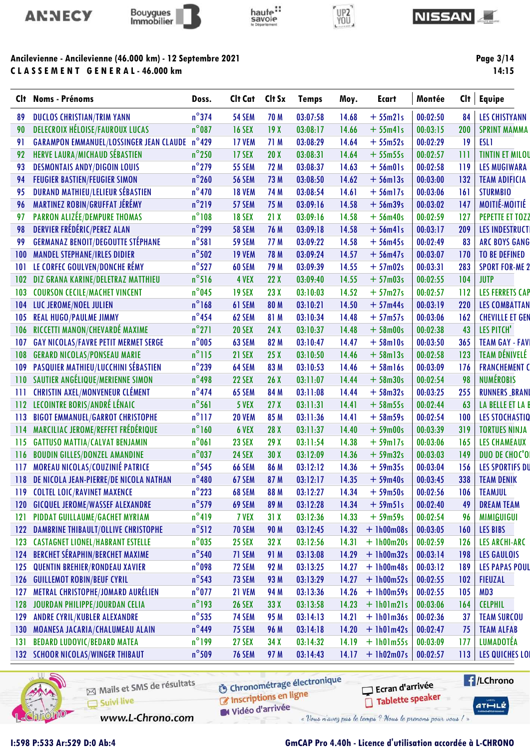



# haute"<br>savoie



#### **NISSAN**

### Ancilevienne - Ancilevienne (46.000 km) - 12 Septembre 2021 CLASSEMENT GENERAL-46.000 km

Page 3/14

 $14:15$ 

|     | Clt Noms - Prénoms                             | Doss.           | Clt Cat       | Clt Sx          | <b>Temps</b> | Moy.  | <b>Ecart</b>  | Montée   | Clt | <b>Equipe</b>          |
|-----|------------------------------------------------|-----------------|---------------|-----------------|--------------|-------|---------------|----------|-----|------------------------|
| 89  | <b>DUCLOS CHRISTIAN/TRIM YANN</b>              | $n^{\circ}$ 374 | <b>54 SEM</b> | 70 M            | 03:07:58     | 14.68 | $+55m21s$     | 00:02:50 | 84  | <b>LES CHISTYANN</b>   |
| 90  | <b>DELECROIX HÉLOISE/FAUROUX LUCAS</b>         | $n^{\circ}$ 087 | <b>16 SEX</b> | 19X             | 03:08:17     | 14.66 | $+55m41s$     | 00:03:15 | 200 | <b>SPRINT MAMMA</b>    |
| 91  | <b>GARAMPON EMMANUEL/LOSSINGER JEAN CLAUDE</b> | $n^{\circ}429$  | <b>17 VEM</b> | 71 M            | 03:08:29     | 14.64 | $+55m52s$     | 00:02:29 | 19  | <b>ESL1</b>            |
| 92  | HERVE LAURA/MICHAUD SÉBASTIEN                  | $n^{\circ}$ 250 | <b>17 SEX</b> | 20X             | 03:08:31     | 14.64 | $+55m55s$     | 00:02:57 | 111 | <b>TINTIN ET MILOU</b> |
| 93  | <b>DESMONTAIS ANDY/DIGOIN LOUIS</b>            | $n^{\circ}$ 279 | <b>55 SEM</b> | 72 M            | 03:08:37     | 14.63 | $+56$ m $01s$ | 00:02:58 | 119 | <b>LES MUGIWARA</b>    |
| 94  | <b>FEUGIER BASTIEN/FEUGIER SIMON</b>           | $n^{\circ}$ 260 | <b>56 SEM</b> | 73 M            | 03:08:50     | 14.62 | $+56$ ml $3s$ | 00:03:00 | 132 | <b>TEAM ADIFICIA</b>   |
| 95  | <b>DURAND MATHIEU/LELIEUR SÉBASTIEN</b>        | $n^{\circ}470$  | <b>18 VEM</b> | 74 M            | 03:08:54     | 14.61 | $+56$ ml7s    | 00:03:06 | 161 | <b>STURMBIO</b>        |
| 96  | MARTINEZ ROBIN/GRUFFAT JÉRÉMY                  | $n^{\circ}$ 219 | 57 SEM        | 75 M            | 03:09:16     | 14.58 | $+56$ m39s    | 00:03:02 | 147 | MOITIÉ-MOITIÉ          |
| 97  | PARRON ALIZÉE/DEMPURE THOMAS                   | $n^{\circ}108$  | <b>18 SEX</b> | 21X             | 03:09:16     | 14.58 | $+56m40s$     | 00:02:59 | 127 | PEPETTE ET TOZZ        |
| 98  | <b>DERVIER FRÉDÉRIC/PEREZ ALAN</b>             | $n^{\circ}$ 299 | <b>58 SEM</b> | 76 M            | 03:09:18     | 14.58 | $+56m41s$     | 00:03:17 | 209 | <b>LES INDESTRUCT</b>  |
| 99  | <b>GERMANAZ BENOIT/DEGOUTTE STÉPHANE</b>       | $n^{\circ}581$  | <b>59 SEM</b> | 77 M            | 03:09:22     | 14.58 | $+56m45s$     | 00:02:49 | 83  | <b>ARC BOYS GANG</b>   |
| 100 | <b>MANDEL STEPHANE/IRLES DIDIER</b>            | $n^{\circ}502$  | <b>19 VEM</b> | 78 M            | 03:09:24     | 14.57 | $+56m47s$     | 00:03:07 | 170 | <b>TO BE DEFINED</b>   |
| 101 | LE CORFEC GOULVEN/DONCHE RÉMY                  | $n^{\circ}527$  | 60 SEM        | 79 M            | 03:09:39     | 14.55 | $+57m02s$     | 00:03:31 | 283 | <b>SPORT FOR-ME 2</b>  |
| 102 | DIZ GRANA KARINE/DELETRAZ MATTHIEU             | $n^{\circ}516$  | 4 VEX         | 22X             | 03:09:40     | 14.55 | $+57m03s$     | 00:02:55 | 104 | <b>JUTP</b>            |
| 103 | <b>COURSON CECILE/MACHET VINCENT</b>           | $n^{\circ}$ 045 | <b>19 SEX</b> | 23X             | 03:10:03     | 14.52 | $+57m27s$     | 00:02:57 | 112 | <b>LES FERRETS CAP</b> |
| 104 | LUC JEROME/NOEL JULIEN                         | $n^{\circ}$ 168 | 61 SEM        | 80 M            | 03:10:21     | 14.50 | $+57m44s$     | 00:03:19 | 220 | <b>LES COMBATTAN</b>   |
| 105 | <b>REAL HUGO/PAULME JIMMY</b>                  | $n^{\circ}$ 454 | 62 SEM        | 81 M            | 03:10:34     | 14.48 | $+57m57s$     | 00:03:06 | 162 | <b>CHEVILLE ET GEN</b> |
| 106 | RICCETTI MANON/CHEVARDÉ MAXIME                 | $n^{\circ}271$  | <b>20 SEX</b> | 24X             | 03:10:37     | 14.48 | $+58m00s$     | 00:02:38 | 43  | LES PITCH'             |
| 107 | <b>GAY NICOLAS/FAVRE PETIT MERMET SERGE</b>    | $n^{\circ}$ 005 | 63 SEM        | 82 M            | 03:10:47     | 14.47 | $+58$ ml0s    | 00:03:50 | 365 | <b>TEAM GAY - FAVI</b> |
| 108 | <b>GERARD NICOLAS/PONSEAU MARIE</b>            | $n^{\circ}$ 115 | <b>21 SEX</b> | 25X             | 03:10:50     | 14.46 | $+58$ ml $3s$ | 00:02:58 | 123 | <b>TEAM DÉNIVELÉ</b>   |
| 109 | PASQUIER MATHIEU/LUCCHINI SÉBASTIEN            | $n^{\circ}$ 239 | 64 SEM        | 83 M            | 03:10:53     | 14.46 | $+58$ ml6s    | 00:03:09 | 176 | <b>FRANCHEMENT C</b>   |
| 110 | SAUTIER ANGÉLIQUE/MERIENNE SIMON               | $n^{\circ}$ 498 | <b>22 SEX</b> | 26X             | 03:11:07     | 14.44 | $+58m30s$     | 00:02:54 | 98  | <b>NUMÉROBIS</b>       |
| 111 | <b>CHRISTIN AXEL/MONVENEUR CLÉMENT</b>         | $n^{\circ}474$  | 65 SEM        | 84 M            | 03:11:08     | 14.44 | $+58m32s$     | 00:03:25 | 255 | <b>RUNNERS_BRANI</b>   |
| 112 | LECOINTRE BORIS/ANDRÉ LÉNAIC                   | $n^{\circ}$ 561 | 5 VEX         | 27 <sub>X</sub> | 03:11:31     | 14.41 | $+58m55s$     | 00:02:44 | 63  | LA BELLE ET LA B       |
| 113 | <b>BIGOT EMMANUEL/GARROT CHRISTOPHE</b>        | $n^{\circ}$ 117 | <b>20 VEM</b> | 85 M            | 03:11:36     | 14.41 | $+58m59s$     | 00:02:54 | 100 | <b>LES STOCHASTIQ</b>  |
| 114 | MARCILIAC JEROME/REFFET FRÉDÉRIQUE             | $n^{\circ}$ 160 | 6 VEX         | 28 X            | 03:11:37     | 14.40 | $+59$ m00s    | 00:03:39 | 319 | <b>TORTUES NINJA</b>   |
| 115 | <b>GATTUSO MATTIA/CALVAT BENJAMIN</b>          | $n^{\circ}061$  | 23 SEX        | 29X             | 03:11:54     | 14.38 | $+59$ ml7s    | 00:03:06 | 165 | <b>LES CHAMEAUX</b>    |
| 116 | <b>BOUDIN GILLES/DONZEL AMANDINE</b>           | $n^{\circ}$ 037 | <b>24 SEX</b> | 30X             | 03:12:09     | 14.36 | $+59m32s$     | 00:03:03 | 149 | DUO DE CHOC'O          |
| 117 | MOREAU NICOLAS/COUZINIÉ PATRICE                | $n^{\circ}$ 545 | <b>66 SEM</b> | 86 M            | 03:12:12     | 14.36 | $+59m35s$     | 00:03:04 | 156 | <b>LES SPORTIFS DU</b> |
| 118 | DE NICOLA JEAN-PIERRE/DE NICOLA NATHAN         | $n^{\circ}480$  | 67 SEM        | 87 M            | 03:12:17     | 14.35 | $+59m40s$     | 00:03:45 | 338 | <b>TEAM DENIK</b>      |
| 119 | <b>COLTEL LOIC/RAVINET MAXENCE</b>             | $n^{\circ}$ 223 | 68 SEM        | 88 M            | 03:12:27     | 14.34 | $+59m50s$     | 00:02:56 | 106 | <b>TEAMJUL</b>         |
| 120 | <b>GICQUEL JEROME/WASSEF ALEXANDRE</b>         | $n^{\circ}$ 579 | 69 SEM        | 89 M            | 03:12:28     | 14.34 | $+59m51s$     | 00:02:40 | 49  | <b>DREAM TEAM</b>      |
| 121 | PIDDAT GUILLAUME/GACHET MYRIAM                 | $n^{\circ}419$  | 7 VEX         | 31X             | 03:12:36     | 14.33 | $+59m59s$     | 00:02:54 | 96  | <b>MIMIGUIGUI</b>      |
| 122 | DAMBRINE THIBAULT/OLLIVE CHRISTOPHE            | $n^{\circ}512$  | <b>70 SEM</b> | 90 M            | 03:12:45     | 14.32 | $+ 1h00m08s$  | 00:03:05 | 160 | <b>LES BIBS</b>        |
| 123 | <b>CASTAGNET LIONEL/HABRANT ESTELLE</b>        | $n^{\circ}$ 035 | <b>25 SEX</b> | 32X             | 03:12:56     | 14.31 | $+1h00m20s$   | 00:02:59 | 126 | <b>LES ARCHI-ARC</b>   |
| 124 | <b>BERCHET SÉRAPHIN/BERCHET MAXIME</b>         | $n^{\circ}$ 540 | 71 SEM        | 91 M            | 03:13:08     | 14.29 | $+ 1h00m32s$  | 00:03:14 | 198 | <b>LES GAULOIS</b>     |
| 125 | <b>QUENTIN BREHIER/RONDEAU XAVIER</b>          | $n^{\circ}$ 098 | 72 SEM        | 92 M            | 03:13:25     | 14.27 | $+1h00m48s$   | 00:03:12 | 189 | <b>LES PAPAS POUL</b>  |
| 126 | <b>GUILLEMOT ROBIN/BEUF CYRIL</b>              | $n^{\circ}$ 543 | 73 SEM        | 93 M            | 03:13:29     | 14.27 | $+ 1h00m52s$  | 00:02:55 | 102 | <b>FIEUZAL</b>         |
| 127 | METRAL CHRISTOPHE/JOMARD AURÉLIEN              | $n^{\circ}$ 077 | 21 VEM        | 94 M            | 03:13:36     | 14.26 | $+ 1h00m59s$  | 00:02:55 | 105 | MD3                    |
| 128 | JOURDAN PHILIPPE/JOURDAN CELIA                 | $n^{\circ}$ 193 | <b>26 SEX</b> | 33X             | 03:13:58     | 14.23 | $+$ 1h01m21s  | 00:03:06 | 164 | <b>CELPHIL</b>         |
| 129 | ANDRE CYRIL/KUBLER ALEXANDRE                   | $n^{\circ}$ 535 | <b>74 SEM</b> | 95 M            | 03:14:13     | 14.21 | $+ 1h01m36s$  | 00:02:36 | 37  | <b>TEAM SURCOU</b>     |
| 130 | MOANESA JACARIA/CHALUMEAU ALAIN                | $n^{\circ}$ 449 | <b>75 SEM</b> | 96 M            | 03:14:18     | 14.20 | $+1h01m42s$   | 00:02:47 | 75  | <b>TEAM ALFAB</b>      |
| 131 | <b>BEDARD LUDOVIC/BEDARD MATEA</b>             | $n^{\circ}$ 199 | <b>27 SEX</b> | 34X             | 03:14:32     | 14.19 | $+1h01m55s$   | 00:03:09 | 177 | <b>LUMADOTÉA</b>       |
|     | <b>132 SCHOOR NICOLAS/WINGER THIBAUT</b>       | $n^{\circ}$ 509 | <b>76 SEM</b> | 97 M            | 03:14:43     | 14.17 | $+$ 1h02m07s  | 00:02:57 | 113 | <b>LES QUICHES LOI</b> |
|     |                                                |                 |               |                 |              |       |               |          |     |                        |



Mails et SMS de résultats Suivi live

**6** Chronométrage électronique

**E** /LChrono Ecran d'arrivée Tablette speaker

 $ATHLZ$ 

Vidéo d'arrivée

www.L-Chrono.com

Inscriptions en ligne

« Vous n'avez pas le temps ? Nous le prenons pour vous / »

1:598 P:533 Ar:529 D:0 Ab:4

## **GmCAP Pro 4.40h - Licence d'utilisation accordée à L-CHRONO**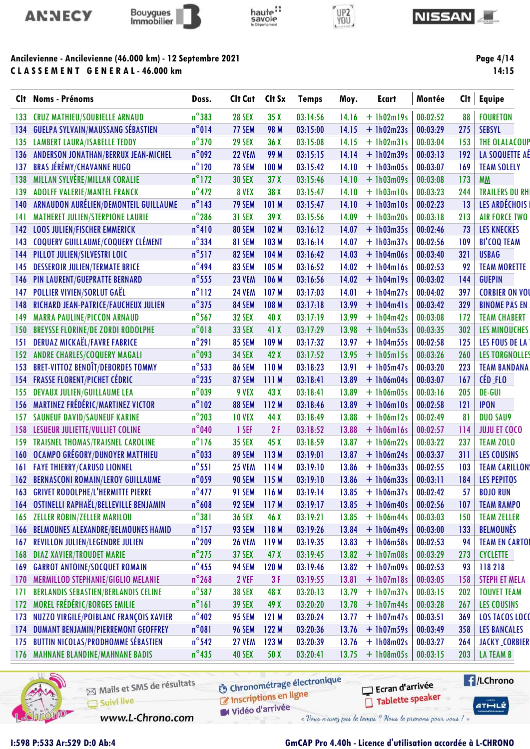



# haute:<br>savoie



#### **NISSAN**

## Ancilevienne - Ancilevienne (46.000 km) - 12 Septembre 2021 CLASSEMENT GENERAL-46.000 km

Page 4/14

| CI† | <b>Noms - Prénoms</b>                        | Doss.           | Clt Cat       | Clt Sx      | <b>Temps</b> | Moy.  | <b>Ecart</b> | Montée   | Cl <sub>t</sub> | <b>Equipe</b>         |
|-----|----------------------------------------------|-----------------|---------------|-------------|--------------|-------|--------------|----------|-----------------|-----------------------|
| 133 | <b>CRUZ MATHIEU/SOUBIELLE ARNAUD</b>         | $n^{\circ}$ 383 | <b>28 SEX</b> | 35X         | 03:14:56     | 14.16 | $+ 1h02m19s$ | 00:02:52 | 88              | <b>FOURETON</b>       |
| 134 | <b>GUELPA SYLVAIN/MAUSSANG SÉBASTIEN</b>     | $n^{\circ}014$  | 77 SEM        | <b>98 M</b> | 03:15:00     | 14.15 | $+ 1h02m23s$ | 00:03:29 | 275             | <b>SEBSYL</b>         |
| 135 | <b>LAMBERT LAURA/ISABELLE TEDDY</b>          | $n^{\circ}370$  | <b>29 SEX</b> | 36X         | 03:15:08     | 14.15 | $+$ 1h02m31s | 00:03:04 | 153             | <b>THE OLALACOUP</b>  |
| 136 | ANDERSON JONATHAN/BERRUX JEAN-MICHEL         | $n^{\circ}$ 092 | <b>22 VEM</b> | 99 M        | 03:15:15     | 14.14 | $+1h02m39s$  | 00:03:13 | 192             | LA SOQUETTE AÉ        |
| 137 | <b>BRAS JÉRÉMY/CHAVANNE HUGO</b>             | $n^{\circ}120$  | <b>78 SEM</b> | 100 M       | 03:15:42     | 14.10 | $+1h03m05s$  | 00:03:07 | 169             | <b>TEAM SOLELY</b>    |
| 138 | <b>MILLAN SYLVÈRE/MILLAN CORALIE</b>         | $n^{\circ}$ 172 | <b>30 SEX</b> | 37X         | 03:15:46     | 14.10 | $+ 1h03m09s$ | 00:03:08 | 173             | <b>MM</b>             |
| 139 | <b>ADOLFF VALERIE/MANTEL FRANCK</b>          | $n^{\circ}472$  | 8 VEX         | 38 X        | 03:15:47     | 14.10 | $+ 1h03m10s$ | 00:03:23 | 244             | <b>TRAILERS DU RH</b> |
| 140 | ARNAUDON AURÉLIEN/DEMONTEIL GUILLAUME        | $n^{\circ}$ 143 | 79 SEM        | 101 M       | 03:15:47     | 14.10 | $+1h03m10s$  | 00:02:23 | 13              | LES ARDÉCHOIS         |
| 141 | <b>MATHERET JULIEN/STERPIONE LAURIE</b>      | $n^{\circ}286$  | <b>31 SEX</b> | 39 X        | 03:15:56     | 14.09 | $+1h03m20s$  | 00:03:18 | 213             | <b>AIR FORCE TWO</b>  |
| 142 | <b>LOOS JULIEN/FISCHER EMMERICK</b>          | $n^{\circ}410$  | 80 SEM        | 102 M       | 03:16:12     | 14.07 | $+1h03m35s$  | 00:02:46 | 73              | <b>LES KNECKES</b>    |
| 143 | COQUERY GUILLAUME/COQUERY CLÉMENT            | $n^{\circ}$ 334 | 81 SEM        | 103 M       | 03:16:14     | 14.07 | $+1h03m37s$  | 00:02:56 | 109             | <b>BI'COQ TEAM</b>    |
| 144 | PILLOT JULIEN/SILVESTRI LOIC                 | $n^{\circ}517$  | 82 SEM        | 104 M       | 03:16:42     | 14.03 | $+ 1h04m06s$ | 00:03:40 | 321             | <b>USBAG</b>          |
| 145 | <b>DESSEROIR JULIEN/TERMATE BRICE</b>        | $n^{\circ}$ 494 | 83 SEM        | 105 M       | 03:16:52     | 14.02 | $+$ 1h04m16s | 00:02:53 | 92              | <b>TEAM MORETTE</b>   |
| 146 | PIN LAURENT/GUEPRATTE BERNARD                | $n^{\circ}$ 555 | <b>23 VEM</b> | 106 M       | 03:16:56     | 14.02 | $+$ 1h04m19s | 00:03:02 | 144             | <b>GUEPIN</b>         |
| 147 | <b>POLLIER VIVIEN/SORLUT GAËL</b>            | $n^{\circ}$ 112 | <b>24 VEM</b> | 107 M       | 03:17:03     | 14.01 | $+1h04m27s$  | 00:04:02 | 397             | <b>CORBIER ON VOI</b> |
| 148 | RICHARD JEAN-PATRICE/FAUCHEUX JULIEN         | $n^{\circ}375$  | 84 SEM        | 108 M       | 03:17:18     | 13.99 | $+$ 1h04m41s | 00:03:42 | 329             | <b>BINOME PAS EN</b>  |
| 149 | <b>MARRA PAULINE/PICCON ARNAUD</b>           | $n^{\circ}$ 567 | <b>32 SEX</b> | 40 X        | 03:17:19     | 13.99 | $+1h04m42s$  | 00:03:08 | 172             | <b>TEAM CHABERT</b>   |
| 150 | <b>BREYSSE FLORINE/DE ZORDI RODOLPHE</b>     | $n^{\circ}018$  | <b>33 SEX</b> | 41 X        | 03:17:29     | 13.98 | $+ 1h04m53s$ | 00:03:35 | 302             | <b>LES MINOUCHES</b>  |
| 151 | <b>DERUAZ MICKAËL/FAVRE FABRICE</b>          | $n^{\circ}291$  | 85 SEM        | 109 M       | 03:17:32     | 13.97 | $+1h04m55s$  | 00:02:58 | 125             | LES FOUS DE LA        |
| 152 | <b>ANDRE CHARLES/COQUERY MAGALI</b>          | $n^{\circ}$ 093 | <b>34 SEX</b> | 42 X        | 03:17:52     | 13.95 | $+1h05m15s$  | 00:03:26 | 260             | <b>LES TORGNOLLES</b> |
| 153 | <b>BRET-VITTOZ BENOÎT/DEBORDES TOMMY</b>     | $n^{\circ}$ 533 | 86 SEM        | 110M        | 03:18:23     | 13.91 | $+1h05m47s$  | 00:03:20 | 223             | <b>TEAM BANDANA</b>   |
| 154 | <b>FRASSE FLORENT/PICHET CÉDRIC</b>          | $n^{\circ}$ 235 | 87 SEM        | 111M        | 03:18:41     | 13.89 | $+1h06m04s$  | 00:03:07 | 167             | CÉD FLO               |
| 155 | <b>DEVAUX JULIEN/GUILLAUME LEA</b>           | $n^{\circ}$ 039 | 9 VEX         | 43 X        | 03:18:41     | 13.89 | $+ 1h06m05s$ | 00:03:16 | 205             | DE-GUI                |
| 156 | <b>MARTINEZ FRÉDÉRIC/MARTINEZ VICTOR</b>     | $n^{\circ}102$  | 88 SEM        | 112 M       | 03:18:46     | 13.89 | $+ 1h06m10s$ | 00:02:58 | 121             | <b>IPON</b>           |
| 157 | <b>SAUNEUF DAVID/SAUNEUF KARINE</b>          | $n^{\circ}$ 203 | <b>10 VEX</b> | 44 X        | 03:18:49     | 13.88 | $+1h06m12s$  | 00:02:49 | 81              | <b>DUO SAU9</b>       |
| 158 | LESUEUR JULIETTE/VULLIET COLINE              | $n^{\circ}040$  | 1 SEF         | 2F          | 03:18:52     | 13.88 | $+$ 1h06m16s | 00:02:57 | 114             | <b>JUJU ET COCO</b>   |
| 159 | TRAISNEL THOMAS/TRAISNEL CAROLINE            | $n^{\circ}$ 176 | <b>35 SEX</b> | 45 X        | 03:18:59     | 13.87 | $+ 1h06m22s$ | 00:03:22 | 237             | <b>TEAM ZOLO</b>      |
| 160 | <b>OCAMPO GRÉGORY/DUNOYER MATTHIEU</b>       | $n^{\circ}$ 033 | 89 SEM        | 113M        | 03:19:01     | 13.87 | $+1h06m24s$  | 00:03:37 | 311             | <b>LES COUSINS</b>    |
| 161 | <b>FAYE THIERRY/CARUSO LIONNEL</b>           | $n^{\circ}$ 551 | <b>25 VEM</b> | 114 M       | 03:19:10     | 13.86 | $+ 1h06m33s$ | 00:02:55 | 103             | <b>TEAM CARILLON</b>  |
| 162 | <b>BERNASCONI ROMAIN/LEROY GUILLAUME</b>     | $n^{\circ}$ 059 | <b>90 SEM</b> | 115 M       | 03:19:10     | 13.86 | $+1h06m33s$  | 00:03:11 | 184             | <b>LES PEPITOS</b>    |
|     | <b>163 GRIVET RODOLPHE/L'HERMITTE PIERRE</b> | $n^{\circ}477$  | 91 SEM        | 116 M       | 03:19:14     | 13.85 | $+1h06m37s$  | 00:02:42 | 57              | <b>BOJO RUN</b>       |
|     | 164 OSTINELLI RAPHAËL/BELLEVILLE BENJAMIN    | $n^{\circ}$ 608 | 92 SEM        | 117 M       | 03:19:17     | 13.85 | $+ 1h06m40s$ | 00:02:56 | 107             | <b>TEAM RAMPO</b>     |
| 165 | <b>ZELLER ROBIN/ZELLER MARILOU</b>           | $n^{\circ}381$  | <b>36 SEX</b> | 46 X        | 03:19:21     | 13.85 | $+1h06m44s$  | 00:03:03 | 150             | <b>TEAM ZELLER</b>    |
| 166 | <b>BELMOUNES ALEXANDRE/BELMOUNES HAMID</b>   | $n^{\circ}$ 157 | 93 SEM        | 118 M       | 03:19:26     | 13.84 | $+ 1h06m49s$ | 00:03:00 | 133             | <b>BELMOUNÈS</b>      |
| 167 | REVILLON JULIEN/LEGENDRE JULIEN              | $n^{\circ}$ 209 | <b>26 VEM</b> | 119M        | 03:19:35     | 13.83 | $+1h06m58s$  | 00:02:53 | 94              | <b>TEAM EN CARTOI</b> |
| 168 | <b>DIAZ XAVIER/TROUDET MARIE</b>             | $n^{\circ}$ 275 | <b>37 SEX</b> | 47 X        | 03:19:45     | 13.82 | $+ 1h07m08s$ | 00:03:29 | 273             | <b>CYCLETTE</b>       |
| 169 | <b>GARROT ANTOINE/SOCQUET ROMAIN</b>         | $n^{\circ}$ 455 | 94 SEM        | 120 M       | 03:19:46     | 13.82 | $+ 1h07m09s$ | 00:02:53 | 93              | 118218                |
| 170 | MERMILLOD STEPHANIE/GIGLIO MELANIE           | $n^{\circ}$ 268 | 2 VEF         | 3F          | 03:19:55     | 13.81 | $+$ 1h07m18s | 00:03:05 | 158             | <b>STEPH ET MELA</b>  |
| 171 | <b>BERLANDIS SEBASTIEN/BERLANDIS CELINE</b>  | $n^{\circ}$ 587 | <b>38 SEX</b> | 48 X        | 03:20:13     | 13.79 | $+ 1h07m37s$ | 00:03:15 | 202             | <b>TOUVET TEAM</b>    |
| 172 | MOREL FRÉDÉRIC/BORGES EMILIE                 | $n^{\circ}161$  | <b>39 SEX</b> | 49 X        | 03:20:20     | 13.78 | $+ 1h07m44s$ | 00:03:28 | 267             | <b>LES COUSINS</b>    |
| 173 | NUZZO VIRGILE/POIBLANC FRANÇOIS XAVIER       | $n^{\circ}402$  | 95 SEM        | 121M        | 03:20:24     | 13.77 | $+ 1h07m47s$ | 00:03:51 | 369             | LOS TACOS LOCO        |
| 174 | <b>DUMANT BENJAMIN/PIERREMONT GEOFFREY</b>   | $n^{\circ}081$  | <b>96 SEM</b> | 122 M       | 03:20:36     | 13.76 | $+ 1h07m59s$ | 00:03:49 | 358             | <b>LES BANCALES</b>   |
| 175 | <b>BUTTIN NICOLAS/PRODHOMME SÉBASTIEN</b>    | $n^{\circ}$ 542 | <b>27 VEM</b> | 123M        | 03:20:39     | 13.76 | $+ 1h08m02s$ | 00:03:27 | 264             | <b>JACKY_CORBIER</b>  |
|     | 176 MAHNANE BLANDINE/MAHNANE BADIS           | $n^{\circ}$ 435 | <b>40 SEX</b> | 50 X        | 03:20:41     | 13.75 | $+$ 1h08m05s | 00:03:15 | 203             | LA TEAM B             |



Mails et SMS de résultats Suivi live

**6** Chronométrage électronique

**E**/LChrono Ecran d'arrivée Tablette speaker

 $ATHLZ$ 

Inscriptions en ligne Vidéo d'arrivée

www.L-Chrono.com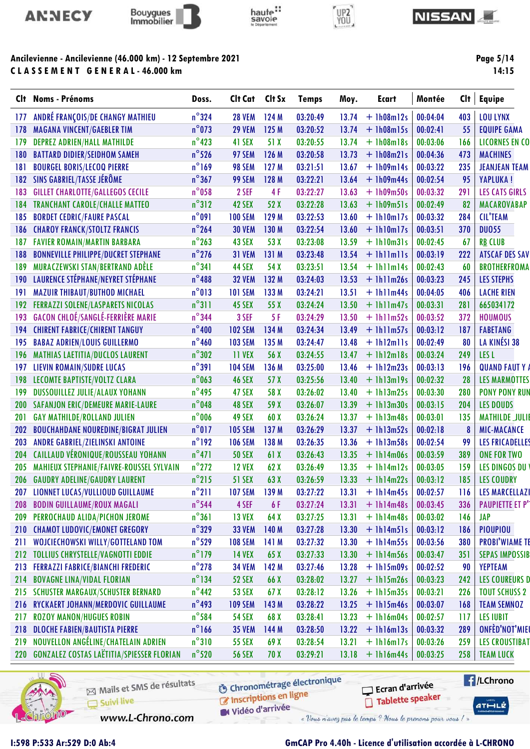



CLASSEMENT GENERAL-46.000 km



# UP2<br>YOU



Page 5/14

| CI† | <b>Noms - Prénoms</b>                         | Doss.           | Clt Cat        | Clt Sx | <b>Temps</b> | Moy.  | Ecart          | Montée   | Clt | Equipe                 |
|-----|-----------------------------------------------|-----------------|----------------|--------|--------------|-------|----------------|----------|-----|------------------------|
| 177 | ANDRÉ FRANÇOIS/DE CHANGY MATHIEU              | $n^{\circ}324$  | <b>28 VEM</b>  | 124M   | 03:20:49     | 13.74 | $+1h08m12s$    | 00:04:04 | 403 | <b>LOU LYNX</b>        |
| 178 | <b>MAGANA VINCENT/GAEBLER TIM</b>             | $n^{\circ}$ 073 | <b>29 VEM</b>  | 125 M  | 03:20:52     | 13.74 | $+1h08m15s$    | 00:02:41 | 55  | <b>EQUIPE GAMA</b>     |
| 179 | <b>DEPREZ ADRIEN/HALL MATHILDE</b>            | $n^{\circ}$ 423 | 41 SEX         | 51 X   | 03:20:55     | 13.74 | $+ 1h08m18s$   | 00:03:06 | 166 | <b>LICORNES EN CO</b>  |
| 180 | <b>BATTARD DIDIER/SEIDHOM SAMEH</b>           | $n^{\circ}$ 526 | 97 SEM         | 126 M  | 03:20:58     | 13.73 | $+$ 1h08m21s   | 00:04:36 | 473 | <b>MACHINES</b>        |
| 181 | <b>BOURGEL BORIS/LECOQ PIERRE</b>             | $n^{\circ}$ 169 | 98 SEM         | 127 M  | 03:21:51     | 13.67 | $+1h09m14s$    | 00:03:22 | 235 | <b>JEANJEAN TEAM</b>   |
| 182 | SINS GABRIEL/TASSE JÉRÔME                     | $n^{\circ}367$  | 99 SEM         | 128 M  | 03:22:21     | 13.64 | $+1h09m44s$    | 00:02:54 | 95  | <b>YAPLUKA!</b>        |
| 183 | <b>GILLET CHARLOTTE/GALLEGOS CECILE</b>       | $n^{\circ}$ 058 | 2 SEF          | 4F     | 03:22:27     | 13.63 | $+ 1h09m50s$   | 00:03:32 | 291 | <b>LES CATS GIRLS</b>  |
| 184 | <b>TRANCHANT CAROLE/CHALLE MATTEO</b>         | $n^{\circ}312$  | 42 SEX         | 52 X   | 03:22:28     | 13.63 | $+$ 1h09m51s   | 00:02:49 | 82  | MACAROVABAP            |
| 185 | <b>BORDET CEDRIC/FAURE PASCAL</b>             | $n^{\circ}091$  | <b>100 SEM</b> | 129 M  | 03:22:53     | 13.60 | $+1h10m17s$    | 00:03:32 | 284 | <b>CIL'TEAM</b>        |
| 186 | <b>CHAROY FRANCK/STOLTZ FRANCIS</b>           | $n^{\circ}$ 264 | <b>30 VEM</b>  | 130 M  | 03:22:54     | 13.60 | $+1h10m17s$    | 00:03:51 | 370 | <b>DU055</b>           |
| 187 | <b>FAVIER ROMAIN/MARTIN BARBARA</b>           | $n^{\circ}$ 263 | 43 SEX         | 53 X   | 03:23:08     | 13.59 | $+$ 1h10m31s   | 00:02:45 | 67  | <b>RB CLUB</b>         |
| 188 | <b>BONNEVILLE PHILIPPE/DUCRET STEPHANE</b>    | $n^{\circ}$ 276 | <b>31 VEM</b>  | 131 M  | 03:23:48     | 13.54 | $+$ lhllmlls   | 00:03:19 | 222 | <b>ATSCAF DES SAV</b>  |
| 189 | MURACZEWSKI STAN/BERTRAND ADÈLE               | $n^{\circ}341$  | 44 SEX         | 54 X   | 03:23:51     | 13.54 | $+$ lhllml4s   | 00:02:43 | 60  | <b>BROTHERFROMA</b>    |
| 190 | LAURENCE STÉPHANE/NEYRET STÉPHANE             | $n^{\circ}488$  | <b>32 VEM</b>  | 132 M  | 03:24:03     | 13.53 | $+ 1h11m26s$   | 00:03:23 | 245 | <b>LES STEPHS</b>      |
| 191 | <b>MAZUIR THIBAUT/BUTHOD MICHAEL</b>          | $n^{\circ}013$  | <b>101 SEM</b> | 133 M  | 03:24:21     | 13.51 | $+ 1h11m44s$   | 00:04:05 | 406 | <b>LACHE RIEN</b>      |
| 192 | <b>FERRAZZI SOLENE/LASPARETS NICOLAS</b>      | $n^{\circ}311$  | 45 SEX         | 55 X   | 03:24:24     | 13.50 | $+$ 1h11m47s   | 00:03:31 | 281 | 665034172              |
| 193 | <b>GACON CHLOÉ/SANGLÉ-FERRIÈRE MARIE</b>      | $n^{\circ}$ 344 | 3 SEF          | 5F     | 03:24:29     | 13.50 | $+ 1h11m52s$   | 00:03:52 | 372 | <b>HOUMOUS</b>         |
| 194 | <b>CHIRENT FABRICE/CHIRENT TANGUY</b>         | $n^{\circ}400$  | <b>102 SEM</b> | 134 M  | 03:24:34     | 13.49 | $+$ 1h11m57s   | 00:03:12 | 187 | <b>FABETANG</b>        |
| 195 | <b>BABAZ ADRIEN/LOUIS GUILLERMO</b>           | $n^{\circ}460$  | <b>103 SEM</b> | 135 M  | 03:24:47     | 13.48 | $+$ 1h12m11s   | 00:02:49 | 80  | LA KINÉSI 38           |
| 196 | <b>MATHIAS LAETITIA/DUCLOS LAURENT</b>        | $n^{\circ}302$  | 11 VEX         | 56 X   | 03:24:55     | 13.47 | $+ 1h12m18s$   | 00:03:24 | 249 | LES <sub>L</sub>       |
| 197 | <b>LIEVIN ROMAIN/SUDRE LUCAS</b>              | $n^{\circ}391$  | <b>104 SEM</b> | 136 M  | 03:25:00     | 13.46 | $+ 1h12m23s$   | 00:03:13 | 196 | <b>QUAND FAUT Y</b>    |
| 198 | LECOMTE BAPTISTE/VOLTZ CLARA                  | $n^{\circ}$ 063 | <b>46 SEX</b>  | 57 X   | 03:25:56     | 13.40 | $+$ 1h13m19s   | 00:02:32 | 28  | <b>LES MARMOTTES</b>   |
| 199 | <b>DUSSOUILLEZ JULIE/ALAUX YOHANN</b>         | $n^{\circ}$ 495 | 47 SEX         | 58 X   | 03:26:02     | 13.40 | $+1h13m25s$    | 00:03:30 | 280 | <b>PONY PONY RUN</b>   |
| 200 | <b>SAFANJON ERIC/DEMEURE MARIE-LAURE</b>      | $n^{\circ}$ 048 | 48 SEX         | 59 X   | 03:26:07     | 13.39 | $+ 1h13m30s$   | 00:03:15 | 204 | <b>LES DOUDS</b>       |
| 201 | <b>GAY MATHILDE/ROLLAND JULIEN</b>            | $n^{\circ}$ 006 | 49 SEX         | 60 X   | 03:26:24     | 13.37 | $+ 1h13m48s$   | 00:03:01 | 135 | <b>MATHILDE JULI</b>   |
| 202 | <b>BOUCHAHDANE NOUREDINE/BIGRAT JULIEN</b>    | $n^{\circ}017$  | <b>105 SEM</b> | 137 M  | 03:26:29     | 13.37 | $+ 1h13m52s$   | 00:02:18 | 8   | <b>MIC-MACANCE</b>     |
| 203 | ANDRE GABRIEL/ZIELINSKI ANTOINE               | $n^{\circ}$ 192 | <b>106 SEM</b> | 138 M  | 03:26:35     | 13.36 | $+1h13m58s$    | 00:02:54 | 99  | <b>LES FRICADELLES</b> |
| 204 | CAILLAUD VÉRONIQUE/ROUSSEAU YOHANN            | $n^{\circ}471$  | <b>50 SEX</b>  | 61X    | 03:26:43     | 13.35 | $+$ 1h14m06s   | 00:03:59 | 389 | <b>ONE FOR TWO</b>     |
| 205 | MAHIEUX STEPHANIE/FAIVRE-ROUSSEL SYLVAIN      | $n^{\circ}$ 272 | <b>12 VEX</b>  | 62X    | 03:26:49     | 13.35 | $+ 1h14m12s$   | 00:03:05 | 159 | <b>LES DINGOS DU</b>   |
| 206 | <b>GAUDRY ADELINE/GAUDRY LAURENT</b>          | $n^{\circ}$ 215 | <b>51 SEX</b>  | 63 X   | 03:26:59     | 13.33 | $+ 1h14m22s$   | 00:03:12 | 185 | <b>LES COUDRY</b>      |
| 207 | LIONNET LUCAS/VULLIOUD GUILLAUME              | $n^{\circ}211$  | <b>107 SEM</b> | 139 M  | 03:27:22     | 13.31 | $+$ 1h14m45s   | 00:02:57 | 116 | <b>LES MARCELLAZ</b>   |
| 208 | <b>BODIN GUILLAUME/ROUX MAGALI</b>            | $n^{\circ}$ 544 | 4 SEF          | 6 F    | 03:27:24     | 13.31 | $+ 1h14m48s$   | 00:03:45 | 336 | <b>PAUPIETTE ET P'</b> |
| 209 | PERROCHAUD ALIDA/PICHON JEROME                | $n^{\circ}361$  | <b>13 VEX</b>  | 64 X   | 03:27:25     | 13.31 | $+$ 1h14m48s   | 00:03:02 | 146 | <b>JAP</b>             |
| 210 | <b>CHAMOT LUDOVIC/EMONET GREGORY</b>          | $n^{\circ}329$  | <b>33 VEM</b>  | 140 M  | 03:27:28     | 13.30 | $+$ 1h14m51s   | 00:03:12 | 186 | <b>PIOUPIOU</b>        |
| 211 | WOJCIECHOWSKI WILLY/GOTTELAND TOM             | $n^{\circ}$ 529 | <b>108 SEM</b> | 141M   | 03:27:32     | 13.30 | $+1h14m55s$    | 00:03:56 | 380 | <b>PROBI'WIAME TI</b>  |
| 212 | <b>TOLLIUS CHRYSTELLE/VAGNOTTI EDDIE</b>      | $n^{\circ}$ 179 | <b>14 VEX</b>  | 65X    | 03:27:33     | 13.30 | $+$ 1h14m56s   | 00:03:47 | 351 | <b>SEPAS IMPOSSIB</b>  |
| 213 | <b>FERRAZZI FABRICE/BIANCHI FREDERIC</b>      | $n^{\circ}$ 278 | <b>34 VEM</b>  | 142 M  | 03:27:46     | 13.28 | $+$ 1h15m09s   | 00:02:52 | 90  | <b>YEPTEAM</b>         |
| 214 | <b>BOVAGNE LINA/VIDAL FLORIAN</b>             | $n^{\circ}$ 134 | <b>52 SEX</b>  | 66 X   | 03:28:02     | 13.27 | $+1h15m26s$    | 00:03:23 | 242 | <b>LES COUREURS D</b>  |
| 215 | <b>SCHUSTER MARGAUX/SCHUSTER BERNARD</b>      | $n^{\circ}$ 442 | <b>53 SEX</b>  | 67X    | 03:28:12     | 13.26 | $+1h15m35s$    | 00:03:21 | 226 | <b>TOUT SCHUSS 2</b>   |
| 216 | RYCKAERT JOHANN/MERDOVIC GUILLAUME            | $n^{\circ}$ 493 | <b>109 SEM</b> | 143 M  | 03:28:22     | 13.25 | $+$ 1h15m46s   | 00:03:07 | 168 | <b>TEAM SEMNOZ</b>     |
| 217 | <b>ROZOY MANON/HUGUES ROBIN</b>               | $n^{\circ}$ 584 | <b>54 SEX</b>  | 68 X   | 03:28:41     | 13.23 | $+ 1h16m04s$   | 00:02:57 | 117 | <b>LES IUBIT</b>       |
| 218 | <b>DLOCHE FABIEN/BAUTISTA PIERRE</b>          | $n^{\circ}$ 166 | <b>35 VEM</b>  | 144 M  | 03:28:50     | 13.22 | $+$ $1h16m13s$ | 00:03:32 | 289 | ONFÈD'NOT'MIE          |
| 219 | NOUVELLON ANGÉLINE/CHATELAIN ADRIEN           | $n^{\circ}310$  | <b>55 SEX</b>  | 69 X   | 03:28:54     | 13.21 | $+$ 1h16m17s   | 00:03:26 | 259 | <b>LES CROUSTIBAT</b>  |
|     | 220 GONZALEZ COSTAS LAËTITIA/SPIESSER FLORIAN | $n^{\circ}$ 520 | <b>56 SEX</b>  | 70X    | 03:29:21     | 13.18 | $+$ 1h16m44s   | 00:03:25 | 258 | <b>TEAM LUCK</b>       |
|     |                                               |                 |                |        |              |       |                |          |     |                        |



Mails et SMS de résultats Suivi live

**6** Chronométrage électronique

**E** /LChrono Ecran d'arrivée Tablette speaker

 $ATHLZ$ 

Inscriptions en ligne Vidéo d'arrivée

www.L-Chrono.com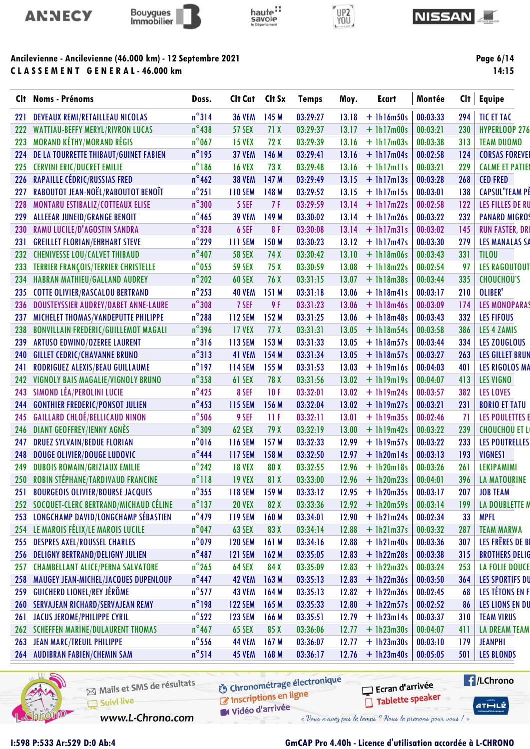



C L A S S E M E N T G E N E R A L - 46.000 km



# UP2<br>YOU



Page 6/14

|            | Clt Noms - Prénoms                          | Doss.           | Clt Cat        | Clt Sx           | <b>Temps</b> | Moy.  | <b>Ecart</b> | Montée   | Clt | <b>Equipe</b>          |
|------------|---------------------------------------------|-----------------|----------------|------------------|--------------|-------|--------------|----------|-----|------------------------|
| <b>221</b> | <b>DEVEAUX REMI/RETAILLEAU NICOLAS</b>      | $n^{\circ}314$  | <b>36 VEM</b>  | 145 M            | 03:29:27     | 13.18 | $+$ 1h16m50s | 00:03:33 | 294 | <b>TIC ET TAC</b>      |
| 222        | <b>WATTIAU-BEFFY MERYL/RIVRON LUCAS</b>     | $n^{\circ}$ 438 | <b>57 SEX</b>  | 71 X             | 03:29:37     | 13.17 | $+$ 1h17m00s | 00:03:21 | 230 | <b>HYPERLOOP 276</b>   |
| 223        | <b>MORAND KÈTHY/MORAND RÉGIS</b>            | $n^{\circ}$ 067 | <b>15 VEX</b>  | 72 X             | 03:29:39     | 13.16 | $+$ 1h17m03s | 00:03:38 | 313 | <b>TEAM DUOMO</b>      |
| 224        | DE LA TOURRETTE THIBAUT/GUINET FABIEN       | $n^{\circ}$ 195 | <b>37 VEM</b>  | 146 M            | 03:29:41     | 13.16 | $+$ 1h17m04s | 00:02:58 | 124 | <b>CORSAS FOREVEI</b>  |
| 225        | <b>CERVINI ERIC/DUCRET EMILIE</b>           | $n^{\circ}186$  | <b>16 VEX</b>  | 73 X             | 03:29:48     | 13.16 | $+$ 1h17m11s | 00:03:21 | 229 | <b>CALME ET PATIEI</b> |
| 226        | <b>RAPAILLE CÉDRIC/RUSSIAS FRED</b>         | $n^{\circ}$ 462 | <b>38 VEM</b>  | 147 M            | 03:29:49     | 13.15 | $+$ 1h17m13s | 00:03:28 | 268 | <b>CED FRED</b>        |
| 227        | RABOUTOT JEAN-NOËL/RABOUTOT BENOÎT          | $n^{\circ}251$  | <b>110 SEM</b> | 148 M            | 03:29:52     | 13.15 | $+$ 1h17m15s | 00:03:01 | 138 | <b>CAPSUL'TEAM PE</b>  |
| 228        | MONTARU ESTIBALIZ/COTTEAUX ELISE            | $n^{\circ}300$  | 5 SEF          | 7 F              | 03:29:59     | 13.14 | $+$ 1h17m22s | 00:02:58 | 122 | LES FILLES DE RU       |
| 229        | <b>ALLEEAR JUNEID/GRANGE BENOIT</b>         | $n^{\circ}$ 465 | <b>39 VEM</b>  | 149 M            | 03:30:02     | 13.14 | $+ 1h17m26s$ | 00:03:22 | 232 | <b>PANARD MIGROS</b>   |
| 230        | RAMU LUCILE/D'AGOSTIN SANDRA                | $n^{\circ}328$  | 6 SEF          | 8F               | 03:30:08     | 13.14 | $+$ 1h17m31s | 00:03:02 | 145 | <b>RUN FASTER, DRI</b> |
| 231        | <b>GREILLET FLORIAN/EHRHART STEVE</b>       | $n^{\circ}$ 229 | <b>111 SEM</b> | 150 M            | 03:30:23     | 13.12 | $+$ 1h17m47s | 00:03:30 | 279 | <b>LES MANALAS SA</b>  |
| 232        | <b>CHENIVESSE LOU/CALVET THIBAUD</b>        | $n^{\circ}407$  | <b>58 SEX</b>  | 74 X             | 03:30:42     | 13.10 | $+ 1h18m06s$ | 00:03:43 | 331 | <b>TILOU</b>           |
| 233        | <b>TERRIER FRANÇOIS/TERRIER CHRISTELLE</b>  | $n^{\circ}$ 055 | <b>59 SEX</b>  | 75 X             | 03:30:59     | 13.08 | $+$ 1h18m22s | 00:02:54 | 97  | <b>LES RAGOUTOUT</b>   |
| 234        | <b>HABRAN MATHIEU/GALLAND AUDREY</b>        | $n^{\circ}$ 202 | <b>60 SEX</b>  | 76 X             | 03:31:15     | 13.07 | $+ 1h18m38s$ | 00:03:44 | 335 | <b>CHOUCHOU'S</b>      |
| 235        | <b>COTTE OLIVIER/RASCALOU BERTRAND</b>      | $n^{\circ}$ 253 | <b>40 VEM</b>  | 151 M            | 03:31:18     | 13.06 | $+$ 1h18m41s | 00:03:17 | 210 | OLIBER'                |
| 236        | <b>DOUSTEYSSIER AUDREY/DABET ANNE-LAURE</b> | $n^{\circ}308$  | 7 SEF          | 9 F              | 03:31:23     | 13.06 | $+$ 1h18m46s | 00:03:09 | 174 | <b>LES MONOPARAS</b>   |
| 237        | MICHELET THOMAS/VANDEPUTTE PHILIPPE         | $n^{\circ}$ 288 | <b>112 SEM</b> | 152 M            | 03:31:25     | 13.06 | $+ 1h18m48s$ | 00:03:43 | 332 | <b>LES FIFOUS</b>      |
| 238        | <b>BONVILLAIN FREDERIC/GUILLEMOT MAGALI</b> | $n^{\circ}$ 396 | <b>17 VEX</b>  | 77 X             | 03:31:31     | 13.05 | $+$ 1h18m54s | 00:03:58 | 386 | <b>LES 4 ZAMIS</b>     |
| 239        | <b>ARTUSO EDWINO/OZEREE LAURENT</b>         | $n^{\circ}316$  | <b>113 SEM</b> | 153 M            | 03:31:33     | 13.05 | $+ 1h18m57s$ | 00:03:44 | 334 | <b>LES ZOUGLOUS</b>    |
| 240        | <b>GILLET CEDRIC/CHAVANNE BRUNO</b>         | $n^{\circ}313$  | 41 VEM         | 154 M            | 03:31:34     | 13.05 | $+$ 1h18m57s | 00:03:27 | 263 | <b>LES GILLET BRUN</b> |
| 241        | RODRIGUEZ ALEXIS/BEAU GUILLAUME             | $n^{\circ}$ 197 | <b>114 SEM</b> | 155 M            | 03:31:53     | 13.03 | $+$ 1h19m16s | 00:04:03 | 401 | <b>LES RIGOLOS MA</b>  |
| 242        | VIGNOLY BAIS MAGALIE/VIGNOLY BRUNO          | $n^{\circ}358$  | 61 SEX         | 78 X             | 03:31:56     | 13.02 | $+$ 1h19m19s | 00:04:07 | 413 | <b>LES VIGNO</b>       |
| 243        | SIMOND LÉA/PEROLINI LUCIE                   | $n^{\circ}425$  | 8 SEF          | 10F              | 03:32:01     | 13.02 | $+ 1h19m24s$ | 00:03:57 | 382 | <b>LES LOVES</b>       |
| 244        | <b>GONTHIER FREDERIC/PONSOT JULIEN</b>      | $n^{\circ}$ 453 | <b>115 SEM</b> | 156 M            | 03:32:04     | 13.02 | $+$ 1h19m27s | 00:03:21 | 231 | <b>BORIO ET TATU</b>   |
| 245        | <b>GAILLARD CHLOÉ/BELLICAUD NINON</b>       | $n^{\circ}$ 506 | 9 SEF          | $\Pi$ F          | 03:32:11     | 13.01 | $+ 1h19m35s$ | 00:02:46 | 71  | <b>LES POULETTES E</b> |
| 246        | <b>DIANT GEOFFREY/IENNY AGNÈS</b>           | $n^{\circ}309$  | 62 SEX         | 79 X             | 03:32:19     | 13.00 | $+$ 1h19m42s | 00:03:22 | 239 | <b>CHOUCHOU ET LI</b>  |
| 247        | <b>DRUEZ SYLVAIN/BEDUE FLORIAN</b>          | $n^{\circ}016$  | <b>116 SEM</b> | 157 M            | 03:32:33     | 12.99 | $+ 1h19m57s$ | 00:03:22 | 233 | <b>LES POUTRELLES</b>  |
| 248        | <b>DOUGE OLIVIER/DOUGE LUDOVIC</b>          | $n^{\circ}$ 444 | <b>117 SEM</b> | 158 M            | 03:32:50     | 12.97 | $+$ 1h20m14s | 00:03:13 | 193 | <b>VIGNES1</b>         |
| 249        | <b>DUBOIS ROMAIN/GRIZIAUX EMILIE</b>        | $n^{\circ}$ 242 | <b>18 VEX</b>  | 80 X             | 03:32:55     | 12.96 | $+$ 1h20m18s | 00:03:26 | 261 | <b>LEKIPAMIMI</b>      |
| 250        | ROBIN STÉPHANE/TARDIVAUD FRANCINE           | $n^{\circ}118$  | <b>19 VEX</b>  | 81 X             | 03:33:00     | 12.96 | $+1h20m23s$  | 00:04:01 | 396 | <b>LA MATOURINE</b>    |
| 251        | <b>BOURGEOIS OLIVIER/BOURSE JACQUES</b>     | $n^{\circ}355$  | <b>118 SEM</b> | 159 <sub>M</sub> | 03:33:12     | 12.95 | $+$ 1h20m35s | 00:03:17 | 207 | <b>JOB TEAM</b>        |
| 252        | SOCQUET-CLERC BERTRAND/MICHAUD CÉLINE       | $n^{\circ}$ 137 | <b>20 VEX</b>  | 82 X             | 03:33:36     | 12.92 | $+ 1h20m59s$ | 00:03:14 | 199 | LA DOUBLETTE N         |
| 253        | LONGCHAMP DAVID/LONGCHAMP SÉBASTIEN         | $n^{\circ}$ 479 | <b>119 SEM</b> | 160 M            | 03:34:01     | 12.90 | $+$ 1h21m24s | 00:02:34 | 33  | <b>MPFL</b>            |
| 254        | LE MAROIS FÉLIX/LE MAROIS LUCILE            | $n^{\circ}$ 047 | <b>63 SEX</b>  | 83 X             | 03:34:14     | 12.88 | $+1h21m37s$  | 00:03:32 | 287 | <b>TEAM MARWA</b>      |
| 255        | <b>DESPRES AXEL/ROUSSEL CHARLES</b>         | $n^{\circ}$ 079 | <b>120 SEM</b> | 161 M            | 03:34:16     | 12.88 | $+$ 1h21m40s | 00:03:36 | 307 | LES FRÊRES DE BI       |
| 256        | <b>DELIGNY BERTRAND/DELIGNY JULIEN</b>      | $n^{\circ}487$  | <b>121 SEM</b> | 162M             | 03:35:05     | 12.83 | $+$ 1h22m28s | 00:03:38 | 315 | <b>BROTHERS DELIG</b>  |
| 257        | <b>CHAMBELLANT ALICE/PERNA SALVATORE</b>    | $n^{\circ}$ 265 | 64 SEX         | 84 X             | 03:35:09     | 12.83 | $+ 1h22m32s$ | 00:03:24 | 253 | <b>LA FOLIE DOUCE</b>  |
| 258        | MAUGEY JEAN-MICHEL/JACQUES DUPENLOUP        | $n^{\circ}$ 447 | <b>42 VEM</b>  | 163 M            | 03:35:13     | 12.83 | $+$ 1h22m36s | 00:03:50 | 364 | <b>LES SPORTIFS DU</b> |
| 259        | <b>GUICHERD LIONEL/REY JÉRÔME</b>           | $n^{\circ}$ 577 | <b>43 VEM</b>  | 164M             | 03:35:13     | 12.82 | $+$ 1h22m36s | 00:02:45 | 68  | LES TÉTONS EN F        |
| 260        | <b>SERVAJEAN RICHARD/SERVAJEAN REMY</b>     | $n^{\circ}$ 198 | <b>122 SEM</b> | 165M             | 03:35:33     | 12.80 | $+1h22m57s$  | 00:02:52 | 86  | <b>LES LIONS EN DU</b> |
| 261        | <b>JACUS JEROME/PHILIPPE CYRIL</b>          | $n^{\circ}522$  | <b>123 SEM</b> | 166M             | 03:35:51     | 12.79 | $+$ 1h23m14s | 00:03:37 | 310 | <b>TEAM VIRUS</b>      |
| 262        | <b>SCHEFFEN MARINE/DULAURENT THOMAS</b>     | $n^{\circ}$ 467 | <b>65 SEX</b>  | 85 X             | 03:36:06     | 12.77 | $+$ 1h23m30s | 00:04:07 | 411 | <b>LA DREAM TEAM</b>   |
| 263        | <b>JEAN MARC/TREUIL PHILIPPE</b>            | $n^{\circ}$ 556 | <b>44 VEM</b>  | 167 <sub>M</sub> | 03:36:07     | 12.77 | $+$ 1h23m30s | 00:03:10 | 179 | <b>JEANPHI</b>         |
| 264        | <b>AUDIBRAN FABIEN/CHEMIN SAM</b>           | $n^{\circ}514$  | <b>45 VEM</b>  | 168M             | 03:36:17     | 12.76 | $+$ 1h23m40s | 00:05:05 | 501 | <b>LES BLONDS</b>      |
|            |                                             |                 |                |                  |              |       |              |          |     |                        |



Mails et SMS de résultats Suivi live

**6** Chronométrage électronique

**E** /LChrono Ecran d'arrivée Tablette speaker

 $ATHLLE$ 

**C** Inscriptions en ligne W Vidéo d'arrivée

www.L-Chrono.com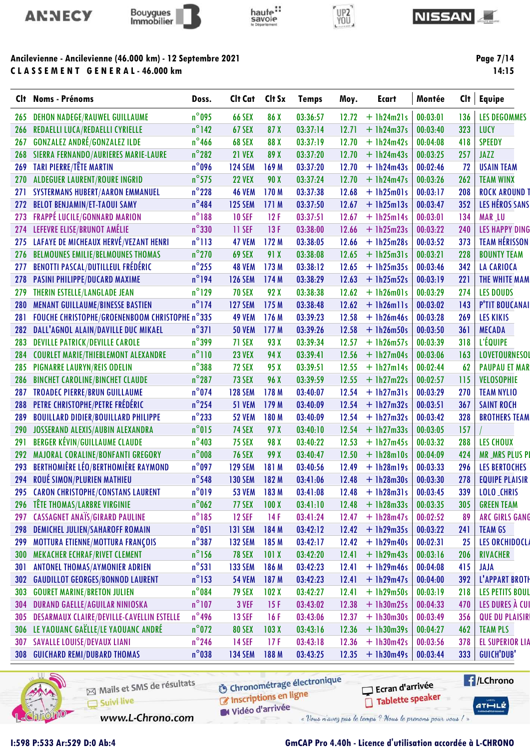



# haute:



#### **NISSAN**

## Ancilevienne - Ancilevienne (46.000 km) - 12 Septembre 2021 CLASSEMENT GENERAL-46.000 km

Page 7/14

| CIt . | <b>Noms - Prénoms</b>                          | Doss.           | Clt Cat        | Clt Sx | <b>Temps</b> | Moy.  | <b>Ecart</b> | Montée   | Cl <sub>t</sub> | <b>Equipe</b>          |
|-------|------------------------------------------------|-----------------|----------------|--------|--------------|-------|--------------|----------|-----------------|------------------------|
| 265   | <b>DEHON NADEGE/RAUWEL GUILLAUME</b>           | $n^{\circ}$ 095 | <b>66 SEX</b>  | 86 X   | 03:36:57     | 12.72 | $+$ 1h24m21s | 00:03:01 | 136             | <b>LES DEGOMMES</b>    |
| 266   | REDAELLI LUCA/REDAELLI CYRIELLE                | $n^{\circ}$ 142 | 67 SEX         | 87 X   | 03:37:14     | 12.71 | $+ 1h24m37s$ | 00:03:40 | 323             | LUCY                   |
| 267   | <b>GONZALEZ ANDRÉ/GONZALEZ ILDE</b>            | $n^{\circ}$ 466 | 68 SEX         | 88 X   | 03:37:19     | 12.70 | $+1h24m42s$  | 00:04:08 | 418             | <b>SPEEDY</b>          |
| 268   | SIERRA FERNANDO/AURIERES MARIE-LAURE           | $n^{\circ}$ 282 | <b>21 VEX</b>  | 89 X   | 03:37:20     | 12.70 | $+ 1h24m43s$ | 00:03:25 | 257             | JAZZ                   |
| 269   | TARI PIERRE/TÊTE MARTIN                        | n°096           | <b>124 SEM</b> | 169 M  | 03:37:20     | 12.70 | $+$ 1h24m43s | 00:02:46 | 72              | <b>USAIN TEAM</b>      |
| 270   | <b>ALDEGUER LAURENT/ROURE INGRID</b>           | $n^{\circ}$ 575 | <b>22 VEX</b>  | 90 X   | 03:37:24     | 12.70 | $+$ 1h24m47s | 00:03:26 | 262             | <b>TEAM WINX</b>       |
| 271   | <b>SYSTERMANS HUBERT/AARON EMMANUEL</b>        | $n^{\circ}$ 228 | <b>46 VEM</b>  | 170 M  | 03:37:38     | 12.68 | $+$ 1h25m01s | 00:03:17 | 208             | <b>ROCK AROUND T</b>   |
| 272   | <b>BELOT BENJAMIN/ET-TAOUI SAMY</b>            | $n^{\circ}$ 484 | <b>125 SEM</b> | 171 M  | 03:37:50     | 12.67 | $+1h25m13s$  | 00:03:47 | 352             | LES HÉROS SANS         |
| 273   | FRAPPÉ LUCILE/GONNARD MARION                   | $n^{\circ}188$  | <b>10 SEF</b>  | 12F    | 03:37:51     | 12.67 | $+$ 1h25m14s | 00:03:01 | 134             | <b>MAR_LU</b>          |
| 274   | LEFEVRE ELISE/BRUNOT AMÉLIE                    | $n^{\circ}330$  | 11 SEF         | 13F    | 03:38:00     | 12.66 | $+1h25m23s$  | 00:03:22 | 240             | <b>LES HAPPY DING</b>  |
| 275   | LAFAYE DE MICHEAUX HERVÉ/VEZANT HENRI          | $n^{\circ}113$  | <b>47 VEM</b>  | 172 M  | 03:38:05     | 12.66 | $+$ 1h25m28s | 00:03:52 | 373             | <b>TEAM HÉRISSON</b>   |
| 276   | <b>BELMOUNES EMILIE/BELMOUNES THOMAS</b>       | $n^{\circ}$ 270 | 69 SEX         | 91 X   | 03:38:08     | 12.65 | $+$ 1h25m31s | 00:03:21 | 228             | <b>BOUNTY TEAM</b>     |
| 277   | BENOTTI PASCAL/DUTILLEUL FRÉDÉRIC              | $n^{\circ}$ 255 | <b>48 VEM</b>  | 173 M  | 03:38:12     | 12.65 | $+1h25m35s$  | 00:03:46 | 342             | <b>LA CARIOCA</b>      |
| 278   | PASINI PHILIPPE/DUCARD MAXIME                  | $n^{\circ}$ 194 | <b>126 SEM</b> | 174 M  | 03:38:29     | 12.63 | $+1h25m52s$  | 00:03:19 | 221             | THE WHITE MAM          |
| 279   | THERIN ESTELLE/LANGLADE JEAN                   | $n^{\circ}$ 129 | <b>70 SEX</b>  | 92 X   | 03:38:38     | 12.62 | $+$ 1h26m01s | 00:03:29 | 274             | <b>LES DOUDS</b>       |
| 280   | <b>MENANT GUILLAUME/BINESSE BASTIEN</b>        | $n^{\circ}$ 174 | <b>127 SEM</b> | 175 M  | 03:38:48     | 12.62 | $+$ lh26mlls | 00:03:02 | 143             | P'TIT BOUCANAI         |
| 281   | FOUCHE CHRISTOPHE/GROENENBOOM CHRISTOPHE n°335 |                 | <b>49 VEM</b>  | 176 M  | 03:39:23     | 12.58 | $+ 1h26m46s$ | 00:03:28 | 269             | <b>LES KIKIS</b>       |
| 282   | DALL'AGNOL ALAIN/DAVILLE DUC MIKAEL            | $n^{\circ}371$  | <b>50 VEM</b>  | 177 M  | 03:39:26     | 12.58 | $+ 1h26m50s$ | 00:03:50 | 361             | <b>MECADA</b>          |
| 283   | <b>DEVILLE PATRICK/DEVILLE CAROLE</b>          | $n^{\circ}$ 399 | 71 SEX         | 93 X   | 03:39:34     | 12.57 | $+ 1h26m57s$ | 00:03:39 | 318             | L'ÉQUIPE               |
| 284   | <b>COURLET MARIE/THIEBLEMONT ALEXANDRE</b>     | $n^{\circ}110$  | <b>23 VEX</b>  | 94 X   | 03:39:41     | 12.56 | $+1h27m04s$  | 00:03:06 | 163             | <b>LOVETOURNESOL</b>   |
| 285   | PIGNARRE LAURYN/REIS ODELIN                    | $n^{\circ}$ 388 | 72 SEX         | 95 X   | 03:39:51     | 12.55 | $+ 1h27m14s$ | 00:02:44 | 62              | <b>PAUPAU ET MAR</b>   |
| 286   | <b>BINCHET CAROLINE/BINCHET CLAUDE</b>         | $n^{\circ}$ 287 | 73 SEX         | 96 X   | 03:39:59     | 12.55 | $+ 1h27m22s$ | 00:02:57 | 115             | <b>VELOSOPHIE</b>      |
| 287   | <b>TROADEC PIERRE/BRUN GUILLAUME</b>           | $n^{\circ}$ 074 | <b>128 SEM</b> | 178 M  | 03:40:07     | 12.54 | $+$ 1h27m31s | 00:03:29 | 270             | <b>TEAM NYLIO</b>      |
| 288   | PETRE CHRISTOPHE/PETRE FRÉDÉRIC                | $n^{\circ}$ 254 | <b>51 VEM</b>  | 179 M  | 03:40:09     | 12.54 | $+ 1h27m32s$ | 00:03:51 | 367             | <b>SAINT ROCH</b>      |
| 289   | <b>BOUILLARD DIDIER/BOUILLARD PHILIPPE</b>     | $n^{\circ}$ 233 | <b>52 VEM</b>  | 180 M  | 03:40:09     | 12.54 | $+1h27m32s$  | 00:03:42 | 328             | <b>BROTHERS TEAM</b>   |
| 290   | JOSSERAND ALEXIS/AUBIN ALEXANDRA               | $n^{\circ}015$  | <b>74 SEX</b>  | 97 X   | 03:40:10     | 12.54 | $+ 1h27m33s$ | 00:03:05 | 157             |                        |
| 291   | <b>BERGER KÉVIN/GUILLAUME CLAUDE</b>           | $n^{\circ}403$  | <b>75 SEX</b>  | 98 X   | 03:40:22     | 12.53 | $+ 1h27m45s$ | 00:03:32 | 288             | <b>LES CHOUX</b>       |
| 292   | MAJORAL CORALINE/BONFANTI GREGORY              | $n^{\circ}$ 008 | <b>76 SEX</b>  | 99 X   | 03:40:47     | 12.50 | $+ 1h28m10s$ | 00:04:09 | 424             | <b>MR_MRS PLUS PI</b>  |
| 293   | <b>BERTHOMIÈRE LÉO/BERTHOMIÈRE RAYMOND</b>     | $n^{\circ}$ 097 | <b>129 SEM</b> | 181 M  | 03:40:56     | 12.49 | $+$ 1h28m19s | 00:03:33 | 296             | <b>LES BERTOCHES</b>   |
| 294   | ROUÉ SIMON/PLURIEN MATHIEU                     | $n^{\circ}$ 548 | <b>130 SEM</b> | 182 M  | 03:41:06     | 12.48 | $+1h28m30s$  | 00:03:30 | 278             | <b>EQUIPE PLAISIR</b>  |
|       | 295 CARON CHRISTOPHE/CONSTANS LAURENT          | $n^{\circ}019$  | <b>53 VEM</b>  | 183 M  | 03:41:08     | 12.48 | $+$ 1h28m31s | 00:03:45 | 339             | LOLO_CHRIS             |
| 296   | <b>TÊTE THOMAS/LARBRE VIRGINIE</b>             | $n^{\circ}$ 062 | 77 SEX         | 100X   | 03:41:10     | 12.48 | $+1h28m33s$  | 00:03:35 | 305             | <b>GREEN TEAM</b>      |
| 297   | <b>CASSAGNET ANAÏS/GIRARD PAULINE</b>          | $n^{\circ}185$  | <b>12 SEF</b>  | 14F    | 03:41:24     | 12.47 | $+$ 1h28m47s | 00:02:52 | 89              | <b>ARC GIRLS GANG</b>  |
| 298   | <b>DEMICHEL JULIEN/SAHAROFF ROMAIN</b>         | $n^{\circ}051$  | <b>131 SEM</b> | 184 M  | 03:42:12     | 12.42 | $+ 1h29m35s$ | 00:03:22 | 241             | <b>TEAM GS</b>         |
| 299   | <b>MOTTURA ETIENNE/MOTTURA FRANÇOIS</b>        | $n^{\circ}387$  | <b>132 SEM</b> | 185 M  | 03:42:17     | 12.42 | $+1h29m40s$  | 00:02:31 | 25              | <b>LES ORCHIDOCLA</b>  |
| 300   | MEKACHER ECHRAF/RIVET CLEMENT                  | $n^{\circ}$ 156 | <b>78 SEX</b>  | 101X   | 03:42:20     | 12.41 | $+ 1h29m43s$ | 00:03:16 | 206             | RIVACHER               |
| 301   | <b>ANTONEL THOMAS/AYMONIER ADRIEN</b>          | $n^{\circ}531$  | <b>133 SEM</b> | 186 M  | 03:42:23     | 12.41 | $+ 1h29m46s$ | 00:04:08 | 415             | JAJA                   |
| 302   | <b>GAUDILLOT GEORGES/BONNOD LAURENT</b>        | $n^{\circ}$ 153 | <b>54 VEM</b>  | 187 M  | 03:42:23     | 12.41 | $+1h29m47s$  | 00:04:00 | 392             | L'APPART BROTH         |
| 303   | <b>GOURET MARINE/BRETON JULIEN</b>             | $n^{\circ}$ 084 | <b>79 SEX</b>  | 102X   | 03:42:27     | 12.41 | $+1h29m50s$  | 00:03:19 | 218             | <b>LES PETITS BOUL</b> |
| 304   | DURAND GAELLE/AGUILAR NINIOSKA                 | $n^{\circ}107$  | 3 VEF          | 15F    | 03:43:02     | 12.38 | $+ 1h30m25s$ | 00:04:33 | 470             | LES DURES À CUI        |
| 305   | DESARMAUX CLAIRE/DEVILLE-CAVELLIN ESTELLE      | $n^{\circ}$ 496 | <b>13 SEF</b>  | 16F    | 03:43:06     | 12.37 | $+ 1h30m30s$ | 00:03:49 | 356             | <b>QUE DU PLAISIR!</b> |
| 306   | LE YAOUANC GAËLLE/LE YAOUANC ANDRÉ             | $n^{\circ}$ 072 | <b>80 SEX</b>  | 103X   | 03:43:16     | 12.36 | $+1h30m39s$  | 00:04:27 | 462             | <b>TEAM PLS</b>        |
| 307   | <b>SAVALLE LOUISE/DEVAUX LIANI</b>             | $n^{\circ}$ 246 | <b>14 SEF</b>  | 17F    | 03:43:18     | 12.36 | $+1h30m42s$  | 00:03:56 | 378             | <b>EL SUPERIOR LIA</b> |
|       |                                                | $n^{\circ}$ 038 |                |        |              |       |              |          |                 | GUICH'DUB'             |



Mails et SMS de résultats Suivi live

**6** Chronométrage électronique

**E** /LChrono Ecran d'arrivée Tablette speaker

 $ATHLZ$ 

Inscriptions en ligne Vidéo d'arrivée

www.L-Chrono.com

1:598 P:533 Ar:529 D:0 Ab:4

## GmCAP Pro 4.40h - Licence d'utilisation accordée à L-CHRONO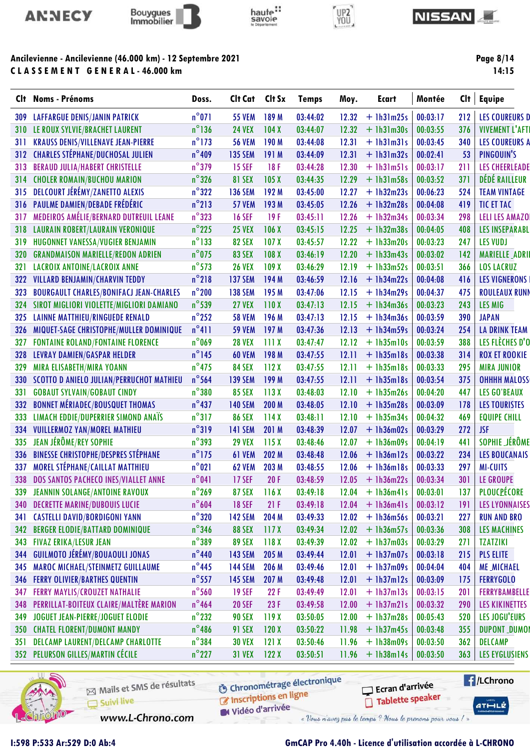



C L A S S E M E N T G E N E R A L - 46.000 km



# UP2<br>YOU



Page 8/14

|     | Clt Noms - Prénoms                             | Doss.           | Clt Cat        | Clt Sx           | <b>Temps</b> | Moy.  | <b>Ecart</b> | Montée   | Clt        | Equipe                 |
|-----|------------------------------------------------|-----------------|----------------|------------------|--------------|-------|--------------|----------|------------|------------------------|
|     | <b>309 LAFFARGUE DENIS/JANIN PATRICK</b>       | $n^{\circ}071$  | <b>55 VEM</b>  | 189 M            | 03:44:02     | 12.32 | $+$ 1h31m25s | 00:03:17 | 212        | <b>LES COUREURS D</b>  |
|     | <b>310 LE ROUX SYLVIE/BRACHET LAURENT</b>      | $n^{\circ}$ 136 | <b>24 VEX</b>  | 104X             | 03:44:07     | 12.32 | $+$ 1h31m30s | 00:03:55 | 376        | <b>VIVEMENT L'AFTI</b> |
| 311 | <b>KRAUSS DENIS/VILLENAVE JEAN-PIERRE</b>      | $n^{\circ}$ 173 | <b>56 VEM</b>  | 190 M            | 03:44:08     | 12.31 | $+$ 1h31m31s | 00:03:45 | 340        | <b>LES COUREURS A</b>  |
|     | 312 CHARLES STÉPHANE/DUCHOSAL JULIEN           | $n^{\circ}$ 409 | <b>135 SEM</b> | 191 M            | 03:44:09     | 12.31 | $+$ 1h31m32s | 00:02:41 | 53         | PINGOUIN'S             |
| 313 | <b>BERAUD JULIA/HABERT CHRISTELLE</b>          | $n^{\circ}$ 379 | <b>15 SEF</b>  | 18F              | 03:44:28     | 12.30 | $+$ 1h31m51s | 00:03:17 | 211        | <b>LES CHEERLEADE</b>  |
| 314 | <b>CHOLER ROMAIN/BUCHOU MARION</b>             | $n^{\circ}$ 326 | <b>81 SEX</b>  | 105X             | 03:44:35     | 12.29 | $+$ 1h31m58s | 00:03:52 | 371        | DÉDÉ RAILLEUR          |
| 315 | DELCOURT JÉRÉMY/ZANETTO ALEXIS                 | $n^{\circ}322$  | <b>136 SEM</b> | 192 M            | 03:45:00     | 12.27 | $+$ 1h32m23s | 00:06:23 | 524        | <b>TEAM VINTAGE</b>    |
|     | 316 PAULME DAMIEN/DEBADE FRÉDÉRIC              | $n^{\circ}$ 213 | <b>57 VEM</b>  | 193 M            | 03:45:05     | 12.26 | $+$ 1h32m28s | 00:04:08 | 419        | TIC ET TAC             |
| 317 | MEDEIROS AMÉLIE/BERNARD DUTREUIL LEANE         | $n^{\circ}323$  | <b>16 SEF</b>  | 19F              | 03:45:11     | 12.26 | $+1h32m34s$  | 00:03:34 | 298        | <b>LELI LES AMAZO</b>  |
| 318 | LAURAIN ROBERT/LAURAIN VERONIQUE               | $n^{\circ}$ 225 | <b>25 VEX</b>  | 106X             | 03:45:15     | 12.25 | $+$ 1h32m38s | 00:04:05 | 408        | <b>LES INSEPARABL</b>  |
| 319 | HUGONNET VANESSA/VUGIER BENJAMIN               | $n^{\circ}$ 133 | <b>82 SEX</b>  | 107 <sub>X</sub> | 03:45:57     | 12.22 | $+1h33m20s$  | 00:03:23 | 247        | <b>LES VUDJ</b>        |
| 320 | <b>GRANDMAISON MARIELLE/REDON ADRIEN</b>       | $n^{\circ}$ 075 | <b>83 SEX</b>  | 108 <sub>X</sub> | 03:46:19     | 12.20 | $+$ 1h33m43s | 00:03:02 | 142        | <b>MARIELLE_ADRII</b>  |
| 321 | <b>LACROIX ANTOINE/LACROIX ANNE</b>            | $n^{\circ}$ 573 | <b>26 VEX</b>  | 109X             | 03:46:29     | 12.19 | $+$ 1h33m52s | 00:03:51 | 366        | <b>LOS LACRUZ</b>      |
| 322 | <b>VILLARD BENJAMIN/CHARVIN TEDDY</b>          | $n^{\circ}$ 218 | <b>137 SEM</b> | 194 M            | 03:46:59     | 12.16 | $+$ 1h34m22s | 00:04:08 | 416        | <b>LES VIGNERONS</b>   |
| 323 | <b>BOURGAULT CHARLES/BONIFACJ JEAN-CHARLES</b> | $n^{\circ}$ 200 | <b>138 SEM</b> | 195 M            | 03:47:06     | 12.15 | $+ 1h34m29s$ | 00:04:37 | 475        | <b>ROULEAUX RUNN</b>   |
|     | 324 SIROT MIGLIORI VIOLETTE/MIGLIORI DAMIANO   | $n^{\circ}$ 539 | <b>27 VEX</b>  | 110X             | 03:47:13     | 12.15 | $+$ 1h34m36s | 00:03:23 | 243        | LES MIG                |
|     | 325 LAINNE MATTHIEU/RINGUEDE RENALD            | $n^{\circ}$ 252 | <b>58 VEM</b>  | 196 M            | 03:47:13     | 12.15 | $+$ 1h34m36s | 00:03:59 | 390        | <b>JAPAN</b>           |
| 326 | MIQUET-SAGE CHRISTOPHE/MULLER DOMINIQUE        | $n^{\circ}411$  | <b>59 VEM</b>  | 197 M            | 03:47:36     | 12.13 | $+$ 1h34m59s | 00:03:24 | 254        | <b>LA DRINK TEAM</b>   |
| 327 | <b>FONTAINE ROLAND/FONTAINE FLORENCE</b>       | $n^{\circ}$ 069 | <b>28 VEX</b>  | 111X             | 03:47:47     | 12.12 | $+$ 1h35m10s | 00:03:59 | 388        | LES FLÈCHES D'O        |
| 328 | <b>LEVRAY DAMIEN/GASPAR HELDER</b>             | $n^{\circ}$ 145 | <b>60 VEM</b>  | 198 M            | 03:47:55     | 12.11 | $+$ 1h35m18s | 00:03:38 | 314        | <b>ROX ET ROOKIE</b>   |
| 329 | <b>MIRA ELISABETH/MIRA YOANN</b>               | $n^{\circ}$ 475 | <b>84 SEX</b>  | 112X             | 03:47:55     | 12.11 | $+$ 1h35m18s | 00:03:33 | 295        | <b>MIRA JUNIOR</b>     |
|     | 330 SCOTTO D ANIELO JULIAN/PERRUCHOT MATHIEU   | $n^{\circ}$ 564 | <b>139 SEM</b> | 199 M            | 03:47:55     | 12.11 | $+$ 1h35m18s | 00:03:54 | 375        | <b>OHHHH MALOSS</b>    |
| 331 | <b>GOBAUT SYLVAIN/GOBAUT CINDY</b>             | $n^{\circ}380$  | <b>85 SEX</b>  | 113X             | 03:48:03     | 12.10 | $+$ 1h35m26s | 00:04:20 | 447        | <b>LES GO'BEAUX</b>    |
| 332 | <b>BONNET MÉRIADEC/BOUSQUET THOMAS</b>         | $n^{\circ}437$  | <b>140 SEM</b> | 200 M            | 03:48:05     | 12.10 | $+$ 1h35m28s | 00:03:09 | 178        | <b>LES TOURISTES</b>   |
| 333 | <b>LIMACH EDDIE/DUPERRIER SIMOND ANAÏS</b>     | $n^{\circ}317$  | <b>86 SEX</b>  | 114X             | 03:48:11     | 12.10 | $+$ 1h35m34s | 00:04:32 | 469        | <b>EQUIPE CHILL</b>    |
| 334 | <b>VUILLERMOZ YAN/MOREL MATHIEU</b>            | $n^{\circ}319$  | <b>141 SEM</b> | 201 M            | 03:48:39     | 12.07 | $+$ 1h36m02s | 00:03:29 | 272        | <b>JSF</b>             |
| 335 | JEAN JÉRÔME/REY SOPHIE                         | $n^{\circ}$ 393 | <b>29 VEX</b>  | 115X             | 03:48:46     | 12.07 | $+$ 1h36m09s | 00:04:19 | 441        | SOPHIE JÉRÔME          |
| 336 | <b>BINESSE CHRISTOPHE/DESPRES STÉPHANE</b>     | $n^{\circ}$ 175 | 61 VEM         | 202 M            | 03:48:48     | 12.06 | $+$ 1h36m12s | 00:03:22 | 234        | <b>LES BOUCANAIS</b>   |
| 337 | MOREL STÉPHANE/CAILLAT MATTHIEU                | $n^{\circ}021$  | 62 VEM         | 203 M            | 03:48:55     | 12.06 | $+$ 1h36m18s | 00:03:33 | 297        | <b>MI-CUITS</b>        |
|     | 338 DOS SANTOS PACHECO INES/VIALLET ANNE       | $n^{\circ}041$  | <b>17 SEF</b>  | 20F              | 03:48:59     | 12.05 | $+1h36m22s$  | 00:03:34 | 301        | LE GROUPE              |
|     | 339 JEANNIN SOLANGE/ANTOINE RAVOUX             | $n^{\circ}$ 269 | <b>87 SEX</b>  | 116X             | 03:49:18     | 12.04 | $+$ lh36m4ls | 00:03:01 | 137        | PLOUCPÉCORE            |
|     | <b>340 DECRETTE MARINE/DUBOUIS LUCIE</b>       | $n^{\circ}604$  | <b>18 SEF</b>  | 21F              | 03:49:18     | 12.04 | $+$ 1h36m41s | 00:03:12 | 191        | <b>LES LYONNAISES</b>  |
| 341 | <b>CASTELLI DAVID/BORDIGONI YANN</b>           | $n^{\circ}320$  | <b>142 SEM</b> | 204 M            | 03:49:33     | 12.02 | $+$ 1h36m56s | 00:03:21 | 227        | <b>RUN AND BRO</b>     |
| 342 | <b>BERGER ELODIE/BATTARD DOMINIQUE</b>         | $n^{\circ}$ 346 | <b>88 SEX</b>  | 117X             | 03:49:34     | 12.02 | $+$ 1h36m57s | 00:03:36 | 308        | <b>LES MACHINES</b>    |
|     | 343 FIVAZ ERIKA/LESUR JEAN                     | $n^{\circ}$ 389 | <b>89 SEX</b>  | 118X             | 03:49:39     | 12.02 | $+$ 1h37m03s | 00:03:29 | <b>271</b> | <b>TZATZIKI</b>        |
|     | 344 GUILMOTO JÉRÉMY/BOUAOULI JONAS             | $n^{\circ}$ 440 | <b>143 SEM</b> | 205 M            | 03:49:44     | 12.01 | $+$ 1h37m07s | 00:03:18 | 215        | <b>PLS ELITE</b>       |
| 345 | MAROC MICHAEL/STEINMETZ GUILLAUME              | $n^{\circ}$ 445 | <b>144 SEM</b> | 206 M            | 03:49:46     | 12.01 | $+ 1h37m09s$ | 00:04:04 | 404        | <b>ME_MICHAEL</b>      |
|     | <b>346 FERRY OLIVIER/BARTHES QUENTIN</b>       | $n^{\circ}$ 557 | <b>145 SEM</b> | 207 M            | 03:49:48     | 12.01 | $+$ 1h37m12s | 00:03:09 | 175        | <b>FERRYGOLO</b>       |
| 347 | <b>FERRY MAYLIS/CROUZET NATHALIE</b>           | $n^{\circ}$ 560 | <b>19 SEF</b>  | 22F              | 03:49:49     | 12.01 | $+$ 1h37m13s | 00:03:15 | 201        | FERRYBAMBELLE          |
| 348 | <b>PERRILLAT-BOITEUX CLAIRE/MALTÈRE MARION</b> | $n^{\circ}464$  | <b>20 SEF</b>  | 23 F             | 03:49:58     | 12.00 | $+$ 1h37m21s | 00:03:32 | 290        | <b>LES KIKINETTES</b>  |
| 349 | JOGUET JEAN-PIERRE/JOGUET ELODIE               | $n^{\circ}$ 232 | <b>90 SEX</b>  | 119X             | 03:50:05     | 12.00 | $+$ 1h37m28s | 00:05:43 | 520        | <b>LES JOGU'EURS</b>   |
|     | <b>350 CHATEL FLORENT/DUMONT MANDY</b>         | $n^{\circ}$ 486 | <b>91 SEX</b>  | 120X             | 03:50:22     | 11.98 | $+ 1h37m45s$ | 00:03:48 | 355        | <b>DUPONT_DUMOI</b>    |
|     | 351 DELCAMP LAURENT/DELCAMP CHARLOTTE          | $n^{\circ}$ 384 | <b>30 VEX</b>  | 121X             | 03:50:46     | 11.96 | $+ 1h38m09s$ | 00:03:50 | 362        | DELCAMP                |
|     | 352 PELURSON GILLES/MARTIN CÉCILE              | $n^{\circ}$ 227 | <b>31 VEX</b>  | 122X             | 03:50:51     | 11.96 | $+$ 1h38m14s | 00:03:50 | 363        | <b>LES EYGLUSIENS</b>  |
|     |                                                |                 |                |                  |              |       |              |          |            |                        |



Mails et SMS de résultats Suivi live

www.L-Chrono.com

**6** Chronométrage électronique

**E**/LChrono Ecran d'arrivée Tablette speaker

 $ATHLLE$ 

Vidéo d'arrivée

**C** Inscriptions en ligne

I:598 P:533 Ar:529 D:0 Ab:4 GmCAP Pro 4.40h - Licence d'utilisation accordée à L-CHRONO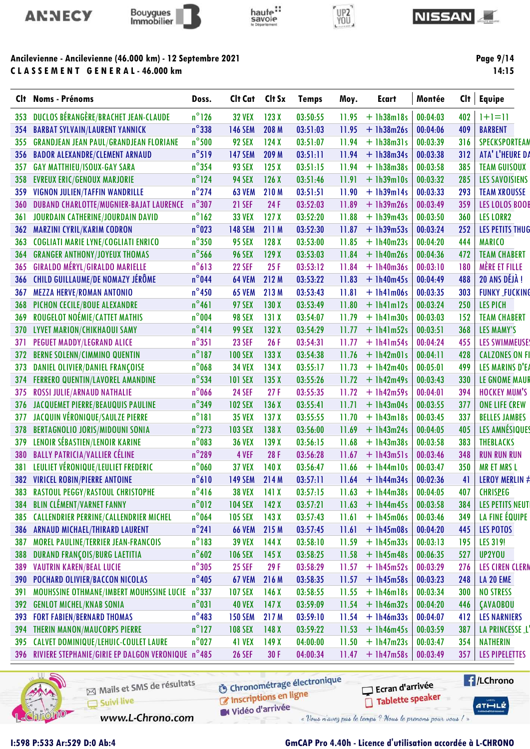



CLASSEMENT GENERAL-46.000 km



# UP2<br>YOU



Page 9/14

| Clt -      | <b>Noms - Prénoms</b>                                                  | Doss.           | Clt Cat                         | Clt Sx           | <b>Temps</b> | Moy.           | <b>Ecart</b>                 | Montée   | Clt | <b>Equipe</b>          |
|------------|------------------------------------------------------------------------|-----------------|---------------------------------|------------------|--------------|----------------|------------------------------|----------|-----|------------------------|
| 353        | DUCLOS BÉRANGÈRE/BRACHET JEAN-CLAUDE                                   | $n^{\circ}$ 126 | <b>32 VEX</b>                   | 123X             | 03:50:55     | 11.95          | $+$ 1h38m18s                 | 00:04:03 | 402 | $ + = $                |
| 354        | <b>BARBAT SYLVAIN/LAURENT YANNICK</b>                                  | $n^{\circ}$ 338 | <b>146 SEM</b>                  | 208 M            | 03:51:03     | 11.95          | $+1h38m26s$                  | 00:04:06 | 409 | <b>BARBENT</b>         |
| 355        | <b>GRANDJEAN JEAN PAUL/GRANDJEAN FLORIANE</b>                          | $n^{\circ}$ 500 | 92 SEX                          | 124X             | 03:51:07     | 11.94          | $+ 1h38m31s$                 | 00:03:39 | 316 | <b>SPECKSPORTEAM</b>   |
| 356        | <b>BADOR ALEXANDRE/CLEMENT ARNAUD</b>                                  | $n^{\circ}519$  | <b>147 SEM</b>                  | 209 M            | 03:51:11     | 11.94          | $+1h38m34s$                  | 00:03:38 | 312 | ATA' L'HEURE DA        |
| 357        | <b>GAY MATTHIEU/ISOUX-GAY SARA</b>                                     | $n^{\circ}$ 354 | 93 SEX                          | 125X             | 03:51:15     | 11.94          | $+1h38m38s$                  | 00:03:58 | 385 | <b>TEAM GUISOUX</b>    |
| 358        | <b>EVREUX ERIC/GENOUX MARJORIE</b>                                     | $n^{\circ}$ 124 | <b>94 SEX</b>                   | 126X             | 03:51:46     | 11.91          | $+ 1h39m10s$                 | 00:03:32 | 285 | <b>LES SAVOISIENS</b>  |
| 359        | VIGNON JULIEN/TAFFIN WANDRILLE                                         | $n^{\circ}$ 274 | <b>63 VEM</b>                   | 210 M            | 03:51:51     | 11.90          | $+$ 1h39m14s                 | 00:03:33 | 293 | <b>TEAM XROUSSE</b>    |
| 360        | <b>DUBAND CHARLOTTE/MUGNIER-BAJAT LAURENCE</b>                         | $n^{\circ}307$  | <b>21 SEF</b>                   | 24 F             | 03:52:03     | 11.89          | $+1h39m26s$                  | 00:03:49 | 359 | LES LOLOS BOOI         |
| 361        | JOURDAIN CATHERINE/JOURDAIN DAVID                                      | $n^{\circ}$ 162 | <b>33 VEX</b>                   | 127X             | 03:52:20     | 11.88          | $+1h39m43s$                  | 00:03:50 | 360 | <b>LES LORR2</b>       |
| 362        | <b>MARZINI CYRIL/KARIM CODRON</b>                                      | $n^{\circ}$ 023 | <b>148 SEM</b>                  | 211 M            | 03:52:30     | 11.87          | $+1h39m53s$                  | 00:03:24 | 252 | LES PETITS THUG        |
| 363        | <b>COGLIATI MARIE LYNE/COGLIATI ENRICO</b>                             | $n^{\circ}350$  | <b>95 SEX</b>                   | 128X             | 03:53:00     | 11.85          | $+1h40m23s$                  | 00:04:20 | 444 | <b>MARICO</b>          |
| 364        | <b>GRANGER ANTHONY/JOYEUX THOMAS</b>                                   | $n^{\circ}$ 566 | <b>96 SEX</b>                   | 129X             | 03:53:03     | 11.84          | $+ 1h40m26s$                 | 00:04:36 | 472 | <b>TEAM CHABERT</b>    |
| 365        | <b>GIRALDO MÉRYL/GIRALDO MARIELLE</b>                                  | $n^{\circ}613$  | <b>22 SEF</b>                   | 25F              | 03:53:12     | 11.84          | $+1h40m36s$                  | 00:03:10 | 180 | <b>MÈRE ET FILLE</b>   |
| 366        | CHILD GUILLAUME/DE NOMAZY JÉRÔME                                       | $n^{\circ}$ 044 | <b>64 VEM</b>                   | 212 M            | 03:53:22     | 11.83          | $+$ 1h40m45s                 | 00:04:49 | 488 | 20 ANS DÉJÀ !          |
| 367        | <b>MEZZA HERVE/ROMAN ANTONIO</b>                                       | $n^{\circ}$ 450 | <b>65 VEM</b>                   | 213 M            | 03:53:43     | 11.81          | $+1h41m06s$                  | 00:03:35 | 303 | <b>FUNKY_FUCKING</b>   |
| 368        | PICHON CECILE/BOUE ALEXANDRE                                           | $n^{\circ}461$  | <b>97 SEX</b>                   | 130X             | 03:53:49     | 11.80          | $+$ $lh4lm12s$               | 00:03:24 | 250 | <b>LES PICH</b>        |
| 369        | ROUGELOT NOÉMIE/CATTET MATHIS                                          | $n^{\circ}$ 004 | <b>98 SEX</b>                   | 131X             | 03:54:07     | 11.79          | $+$ 1h41m30s                 | 00:03:03 | 152 | <b>TEAM CHABERT</b>    |
| 370        | LYVET MARION/CHIKHAOUI SAMY                                            | $n^{\circ}414$  | <b>99 SEX</b>                   | 132X             | 03:54:29     | 11.77          | $+ 1h41m52s$                 | 00:03:51 | 368 | <b>LES MAMY'S</b>      |
| 371        | PEGUET MADDY/LEGRAND ALICE                                             | $n^{\circ}351$  | <b>23 SEF</b>                   | 26F              | 03:54:31     | 11.77          | $+$ 1h41m54s                 | 00:04:24 | 455 | <b>LES SWIMMEUSE</b>   |
| 372        | <b>BERNE SOLENN/CIMMINO QUENTIN</b>                                    | $n^{\circ}$ 187 | <b>100 SEX</b>                  | 133X             | 03:54:38     | 11.76          | $+$ 1h42m01s                 | 00:04:11 | 428 | <b>CALZONES ON F</b>   |
| 373        | DANIEL OLIVIER/DANIEL FRANÇOISE                                        | $n^{\circ}$ 068 | <b>34 VEX</b>                   | 134X             | 03:55:17     | 11.73          | $+ 1h42m40s$                 | 00:05:01 | 499 | LES MARINS D'E.        |
|            |                                                                        | $n^{\circ}$ 534 |                                 | 135X             | 03:55:26     |                |                              | 00:03:43 | 330 | LE GNOME MAUI          |
| 374<br>375 | <b>FERRERO QUENTIN/LAVOREL AMANDINE</b><br>ROSSI JULIE/ARNAUD NATHALIE | $n^{\circ}$ 066 | <b>101 SEX</b><br><b>24 SEF</b> | 27F              | 03:55:35     | 11.72<br>11.72 | $+$ 1h42m49s<br>$+ 1h42m59s$ | 00:04:01 | 394 | <b>HOCKEY MUM'S</b>    |
|            |                                                                        | $n^{\circ}$ 349 |                                 |                  |              |                |                              |          | 377 |                        |
| 376        | JACQUEMET PIERRE/BEAUQUIS PAULINE                                      | $n^{\circ}181$  | <b>102 SEX</b>                  | 136X             | 03:55:41     | 11.71          | $+ 1h43m04s$                 | 00:03:55 |     | <b>ONE LIFE CREW</b>   |
| 377        | JACQUIN VÉRONIQUE/SAULZE PIERRE                                        | $n^{\circ}$ 273 | <b>35 VEX</b>                   | 137 <sub>X</sub> | 03:55:55     | 11.70          | $+ 1h43m18s$                 | 00:03:45 | 337 | <b>BELLES JAMBES</b>   |
| 378        | <b>BERTAGNOLIO JORIS/MIDOUNI SONIA</b>                                 |                 | <b>103 SEX</b>                  | 138X             | 03:56:00     | 11.69          | $+ 1h43m24s$                 | 00:04:05 | 405 | LES AMNÉSIQUE          |
| 379        | LENOIR SÉBASTIEN/LENOIR KARINE                                         | $n^{\circ}083$  | <b>36 VEX</b>                   | 139X             | 03:56:15     | 11.68          | $+1h43m38s$                  | 00:03:58 | 383 | <b>THEBLACKS</b>       |
| 380        | <b>BALLY PATRICIA/VALLIER CÉLINE</b>                                   | $n^{\circ}$ 289 | 4 VEF                           | 28F              | 03:56:28     | 11.67          | $+$ 1h43m51s                 | 00:03:46 | 348 | <b>RUN RUN RUN</b>     |
| 381        | LEULIET VÉRONIQUE/LEULIET FREDERIC                                     | $n^{\circ}$ 060 | <b>37 VEX</b>                   | 140X             | 03:56:47     | 11.66          | $+ 1h44m10s$                 | 00:03:47 | 350 | <b>MR ET MRS L</b>     |
|            | 382 VIRICEL ROBIN/PIERRE ANTOINE                                       | $n^{\circ}610$  | <b>149 SEM</b>                  | 214 M            | 03:57:11     | 11.64          | $+$ 1h44m34s                 | 00:02:36 | 41  | <b>LEROY MERLIN #</b>  |
| 383        | RASTOUL PEGGY/RASTOUL CHRISTOPHE                                       | $n^{\circ}416$  | <b>38 VEX</b>                   | 141X             | 03:57:15     | 11.63          | $+$ 1h44m38s                 | 00:04:05 | 407 | <b>CHRISPEG</b>        |
| 384        | <b>BLIN CLÉMENT/VARNET FANNY</b>                                       | $n^{\circ}012$  | <b>104 SEX</b>                  | 142X             | 03:57:21     | 11.63          | $+$ 1h44m45s                 | 00:03:58 | 384 | <b>LES PETITS NEUT</b> |
| 385        | <b>CALLENDRIER PERRINE/CALLENDRIER MICHEL</b>                          | $n^{\circ}$ 064 | <b>105 SEX</b>                  | 143X             | 03:57:43     | 11.61          | $+ 1h45m06s$                 | 00:03:46 | 349 | LA FINE ÉQUIPE         |
| 386        | ARNAUD MICHAEL/THIRARD LAURENT                                         | $n^{\circ}241$  | <b>66 VEM</b>                   | 215 M            | 03:57:45     | 11.61          | $+$ 1h45m08s                 | 00:04:20 | 445 | LES POTOS              |
| 387        | <b>MOREL PAULINE/TERRIER JEAN-FRANCOIS</b>                             | $n^{\circ}$ 183 | <b>39 VEX</b>                   | 144X             | 03:58:10     | 11.59          | $+1h45m33s$                  | 00:03:13 | 195 | LES 319!               |
| 388        | DURAND FRANÇOIS/BURG LAETITIA                                          | $n^{\circ}602$  | <b>106 SEX</b>                  | 145X             | 03:58:25     | 11.58          | $+$ 1h45m48s                 | 00:06:35 | 527 | UP2YOU                 |
| 389        | <b>VAUTRIN KAREN/BEAL LUCIE</b>                                        | $n^{\circ}305$  | <b>25 SEF</b>                   | 29F              | 03:58:29     | 11.57          | $+$ 1h45m52s                 | 00:03:29 | 276 | <b>LES CIREN CLERA</b> |
| 390        | POCHARD OLIVIER/BACCON NICOLAS                                         | $n^{\circ}405$  | <b>67 VEM</b>                   | 216 M            | 03:58:35     | 11.57          | $+$ 1h45m58s                 | 00:03:23 | 248 | LA 20 EME              |
| 391        | MOUHSSINE OTHMANE/IMBERT MOUHSSINE LUCIE                               | $n^{\circ}$ 337 | <b>107 SEX</b>                  | 146X             | 03:58:55     | 11.55          | $+ 1h46m18s$                 | 00:03:34 | 300 | <b>NO STRESS</b>       |
| 392        | <b>GENLOT MICHEL/KNAB SONIA</b>                                        | $n^{\circ}031$  | <b>40 VEX</b>                   | 147 <sub>X</sub> | 03:59:09     | 11.54          | $+$ 1h46m32s                 | 00:04:20 | 446 | <b>ÇAVAOBOU</b>        |
| 393        | <b>FORT FABIEN/BERNARD THOMAS</b>                                      | $n^{\circ}483$  | <b>150 SEM</b>                  | 217 M            | 03:59:10     | 11.54          | $+ 1h46m33s$                 | 00:04:07 | 412 | <b>LES NARNIERS</b>    |
| 394        | <b>THERIN MANON/MAUCORPS PIERRE</b>                                    | $n^{\circ}$ 127 | <b>108 SEX</b>                  | 148 <sub>X</sub> | 03:59:22     | 11.53          | $+$ 1h46m45s                 | 00:03:59 | 387 | LA PRINCESSE_L         |
| 395        | CALVET DOMINIQUE/LEHUIC-COULET LAURE                                   | $n^{\circ}$ 027 | 41 VEX                          | 149X             | 04:00:00     | 11.50          | $+$ 1h47m23s                 | 00:03:47 | 354 | <b>NATHERIN</b>        |
| 396        | RIVIERE STEPHANIE/GIRIE EP DALGON VERONIQUE n°485                      |                 | <b>26 SEF</b>                   | 30F              | 04:00:34     | 11.47          | $+$ 1h47m58s                 | 00:03:49 | 357 | <b>LES PIPELETTES</b>  |
|            |                                                                        |                 |                                 |                  |              |                |                              |          |     |                        |



ł.

Mails et SMS de résultats Suivi live

**6** Chronométrage électronique

**E** /LChrono Ecran d'arrivée Tablette speaker

 $ATHLZ$ 

Inscriptions en ligne Vidéo d'arrivée

www.L-Chrono.com

1:598 P:533 Ar:529 D:0 Ab:4

GmCAP Pro 4.40h - Licence d'utilisation accordée à L-CHRONO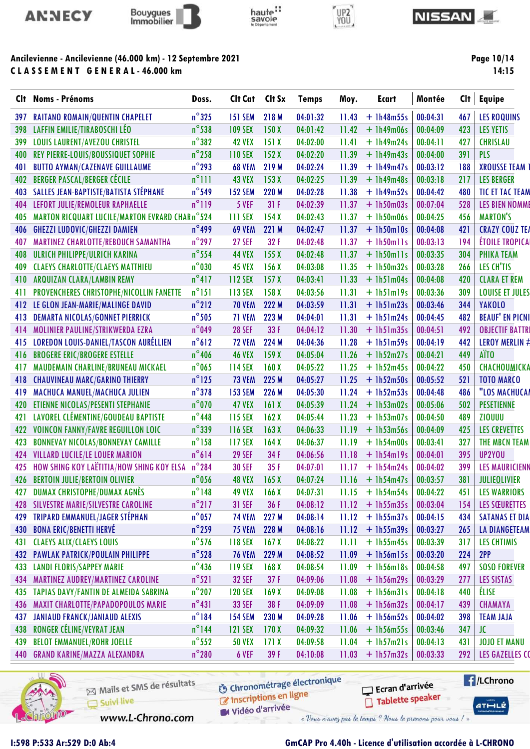



CLASSEMENT GENERAL-46.000 km

# haute:



#### **NISSAN**

Page 10/14  $14:15$ 

| Clt | <b>Noms - Prénoms</b>                           | Doss.           | Clt Cat        | Clt Sx           | <b>Temps</b> | Moy.  | <b>Ecart</b> | Montée   | Clt | <b>Equipe</b>                         |
|-----|-------------------------------------------------|-----------------|----------------|------------------|--------------|-------|--------------|----------|-----|---------------------------------------|
| 397 | <b>RAITANO ROMAIN/QUENTIN CHAPELET</b>          | $n^{\circ}325$  | <b>151 SEM</b> | 218 M            | 04:01:32     | 11.43 | $+1h48m55s$  | 00:04:31 | 467 | <b>LES ROQUINS</b>                    |
| 398 | LAFFIN EMILIE/TIRABOSCHI LÉO                    | $n^{\circ}$ 538 | <b>109 SEX</b> | 150X             | 04:01:42     | 11.42 | $+$ 1h49m06s | 00:04:09 | 423 | <b>LES YETIS</b>                      |
| 399 | <b>LOUIS LAURENT/AVEZOU CHRISTEL</b>            | $n^{\circ}382$  | <b>42 VEX</b>  | 151X             | 04:02:00     | 11.41 | $+1h49m24s$  | 00:04:11 | 427 | <b>CHRISLAU</b>                       |
| 400 | REY PIERRE-LOUIS/BOUSSIQUET SOPHIE              | $n^{\circ}$ 258 | <b>110 SEX</b> | 152X             | 04:02:20     | 11.39 | $+1h49m43s$  | 00:04:00 | 391 | <b>PLS</b>                            |
| 401 | <b>BUTTO AYMAN/CAZENAVE GUILLAUME</b>           | $n^{\circ}$ 293 | <b>68 VEM</b>  | 219 M            | 04:02:24     | 11.39 | $+1h49m47s$  | 00:03:12 | 188 | <b>XROUSSE TEAM</b>                   |
| 402 | <b>BERGER PASCAL/BERGER CÉCILE</b>              | $n^{\circ}$ ]]] | <b>43 VEX</b>  | 153X             | 04:02:25     | 11.39 | $+1h49m48s$  | 00:03:18 | 217 | <b>LES BERGER</b>                     |
| 403 | SALLES JEAN-BAPTISTE/BATISTA STÉPHANE           | $n^{\circ}$ 549 | <b>152 SEM</b> | 220 M            | 04:02:28     | 11.38 | $+1h49m52s$  | 00:04:42 | 480 | <b>TIC ET TAC TEAM</b>                |
| 404 | LEFORT JULIE/REMOLEUR RAPHAELLE                 | $n^{\circ}$ 119 | 5 VEF          | 31F              | 04:02:39     | 11.37 | $+ 1h50m03s$ | 00:07:04 | 528 | <b>LES BIEN NOMME</b>                 |
| 405 | MARTON RICQUART LUCILE/MARTON EVRARD CHAR n°524 |                 | 111 SEX        | 154X             | 04:02:43     | 11.37 | $+1h50m06s$  | 00:04:25 | 456 | <b>MARTON'S</b>                       |
| 406 | <b>GHEZZI LUDOVIC/GHEZZI DAMIEN</b>             | $n^{\circ}$ 499 | <b>69 VEM</b>  | 221 M            | 04:02:47     | 11.37 | $+1h50m10s$  | 00:04:08 | 421 | <b>CRAZY COUZ TEA</b>                 |
| 407 | MARTINEZ CHARLOTTE/REBOUCH SAMANTHA             | $n^{\circ}$ 297 | <b>27 SEF</b>  | 32F              | 04:02:48     | 11.37 | $+$ 1h50mlls | 00:03:13 | 194 | <b>ÉTOILE TROPICA</b>                 |
| 408 | ULRICH PHILIPPE/ULRICH KARINA                   | $n^{\circ}$ 554 | <b>44 VEX</b>  | 155 <sub>X</sub> | 04:02:48     | 11.37 | $+$ lh50mlls | 00:03:35 | 304 | <b>PHIKA TEAM</b>                     |
| 409 | <b>CLAEYS CHARLOTTE/CLAEYS MATTHIEU</b>         | $n^{\circ}$ 030 | <b>45 VEX</b>  | 156X             | 04:03:08     | 11.35 | $+1h50m32s$  | 00:03:28 | 266 | LES CH'TIS                            |
| 410 | ARQUIZAN CLARA/LAMBIN REMY                      | $n^{\circ}417$  | <b>112 SEX</b> | 157X             | 04:03:41     | 11.33 | $+$ 1h51m04s | 00:04:08 | 420 | <b>CLARA ET REM</b>                   |
| 411 | PROVENCHERES CHRISTOPHE/NICOLLIN FANETTE        | $n^{\circ}$ 151 | 113 SEX        | 158X             | 04:03:56     | 11.31 | $+1h51m19s$  | 00:03:36 | 309 | <b>LOUISE ET JULES</b>                |
| 412 | LE GLON JEAN-MARIE/MALINGE DAVID                | $n^{\circ}$ 212 | <b>70 VEM</b>  | 222 M            | 04:03:59     | 11.31 | $+1h51m23s$  | 00:03:46 | 344 | <b>YAKOLO</b>                         |
| 413 | <b>DEMARTA NICOLAS/GONNET PIERRICK</b>          | $n^{\circ}$ 505 | 71 VEM         | 223 M            | 04:04:01     | 11.31 | $+1h51m24s$  | 00:04:45 | 482 | <b>BEAUF' EN PICNI</b>                |
| 414 | MOLINIER PAULINE/STRIKWERDA EZRA                | $n^{\circ}$ 049 | <b>28 SEF</b>  | 33F              | 04:04:12     | 11.30 | $+1h51m35s$  | 00:04:51 | 492 | <b>OBJECTIF BATTRI</b>                |
| 415 | <b>LOREDON LOUIS-DANIEL/TASCON AURÉLLIEN</b>    | $n^{\circ}612$  | <b>72 VEM</b>  | 224 M            | 04:04:36     | 11.28 | $+1h51m59s$  | 00:04:19 | 442 | <b>LEROY MERLIN <math>\neq</math></b> |
| 416 | <b>BROGERE ERIC/BROGERE ESTELLE</b>             | $n^{\circ}$ 406 | <b>46 VEX</b>  | 159X             | 04:05:04     | 11.26 | $+$ 1h52m27s | 00:04:21 | 449 | AÏT <sub>0</sub>                      |
| 417 | MAUDEMAIN CHARLINE/BRUNEAU MICKAEL              | $n^{\circ}$ 065 | <b>114 SEX</b> | 160X             | 04:05:22     | 11.25 | $+1h52m45s$  | 00:04:22 | 450 | CHACHOUMICKA                          |
| 418 | <b>CHAUVINEAU MARC/GARINO THIERRY</b>           | $n^{\circ}$ 125 | <b>73 VEM</b>  | 225 M            | 04:05:27     | 11.25 | $+1h52m50s$  | 00:05:52 | 521 | <b>TOTO MARCO</b>                     |
| 419 | MACHUCA MANUEL/MACHUCA JULIEN                   | $n^{\circ}378$  | <b>153 SEM</b> | 226 M            | 04:05:30     | 11.24 | $+1h52m53s$  | 00:04:48 | 486 | "LOS MACHUCAI                         |
| 420 | ETIENNE NICOLAS/PESENTI STEPHANIE               | $n^{\circ}$ 070 | <b>47 VEX</b>  | 161X             | 04:05:39     | 11.24 | $+ 1h53m02s$ | 00:05:06 | 502 | <b>PESETIENNE</b>                     |
| 421 | LAVOREL CLÉMENTINE/GOUDEAU BAPTISTE             | $n^{\circ}$ 448 | <b>115 SEX</b> | 162X             | 04:05:44     | 11.23 | $+ 1h53m07s$ | 00:04:50 | 489 | <b>ZIOUUU</b>                         |
| 422 | <b>VOINCON FANNY/FAVRE REGUILLON LOIC</b>       | $n^{\circ}$ 339 | 116 SEX        | 163X             | 04:06:33     | 11.19 | $+$ 1h53m56s | 00:04:09 | 425 | <b>LES CREVETTES</b>                  |
| 423 | <b>BONNEVAY NICOLAS/BONNEVAY CAMILLE</b>        | $n^{\circ}$ 158 | 117 SEX        | 164X             | 04:06:37     | 11.19 | $+ 1h54m00s$ | 00:03:41 | 327 | THE MBCN TEAM                         |
| 424 | <b>VILLARD LUCILE/LE LOUER MARION</b>           | $n^{\circ}614$  | <b>29 SEF</b>  | 34 F             | 04:06:56     | 11.18 | $+$ 1h54m19s | 00:04:01 | 395 | UP2YOU                                |
| 425 | HOW SHING KOY LAËTITIA/HOW SHING KOY ELSA       | $n^{\circ}$ 284 | <b>30 SEF</b>  | 35F              | 04:07:01     | 11.17 | $+$ 1h54m24s | 00:04:02 | 399 | <b>LES MAURICIENN</b>                 |
| 426 | <b>BERTOIN JULIE/BERTOIN OLIVIER</b>            | $n^{\circ}$ 056 | <b>48 VEX</b>  | 165 <sub>X</sub> | 04:07:24     | 11.16 | $+$ 1h54m47s | 00:03:57 | 381 | <b>JULIEQLIVIER</b>                   |
| 427 | DUMAX CHRISTOPHE/DUMAX AGNÈS                    | $n^{\circ}$ 148 | <b>49 VEX</b>  | 166X             | 04:07:31     | 11.15 | $+$ 1h54m54s | 00:04:22 | 451 | <b>LES WARRIORS</b>                   |
| 428 | SILVESTRE MARIE/SILVESTRE CAROLINE              | $n^{\circ}$ 217 | <b>31 SEF</b>  | 36 F             | 04:08:12     | 11.12 | $+$ 1h55m35s | 00:03:04 | 154 | <b>LES SŒURETTES</b>                  |
| 429 | TRIPARD EMMANUEL/JAGER STÉPHAN                  | $n^{\circ}$ 057 | <b>74 VEM</b>  | 227 M            | 04:08:14     | 11.12 | $+1h55m37s$  | 00:04:15 | 434 | <b>SATANAS ET DIA</b>                 |
| 430 | <b>BONA ERIC/BENETTI HERVÉ</b>                  | $n^{\circ}$ 259 | <b>75 VEM</b>  | 228 M            | 04:08:16     | 11.12 | $+1h55m39s$  | 00:03:27 | 265 | <b>LA DIANGETEAM</b>                  |
| 431 | <b>CLAEYS ALIX/CLAEYS LOUIS</b>                 | $n^{\circ}$ 576 | <b>118 SEX</b> | 167 <sub>X</sub> | 04:08:22     | 11.11 | $+1h55m45s$  | 00:03:39 | 317 | <b>LES CHTIMIS</b>                    |
| 432 | PAWLAK PATRICK/POULAIN PHILIPPE                 | $n^{\circ}$ 528 | <b>76 VEM</b>  | 229 M            | 04:08:52     | 11.09 | $+$ 1h56m15s | 00:03:20 | 224 | 2PP                                   |
| 433 | <b>LANDI FLORIS/SAPPEY MARIE</b>                | $n^{\circ}$ 436 | <b>119 SEX</b> | 168 <sub>X</sub> | 04:08:54     | 11.09 | $+1h56m18s$  | 00:04:58 | 497 | <b>SOSO FOREVER</b>                   |
| 434 | <b>MARTINEZ AUDREY/MARTINEZ CAROLINE</b>        | $n^{\circ}521$  | <b>32 SEF</b>  | 37 F             | 04:09:06     | 11.08 | $+1h56m29s$  | 00:03:29 | 277 | LES SISTAS                            |
| 435 | <b>TAPIAS DAVY/FANTIN DE ALMEIDA SABRINA</b>    | $n^{\circ}$ 207 | <b>120 SEX</b> | 169X             | 04:09:08     | 11.08 | $+$ 1h56m31s | 00:04:18 | 440 | <b>ÉLISE</b>                          |
| 436 | MAXIT CHARLOTTE/PAPADOPOULOS MARIE              | $n^{\circ}431$  | <b>33 SEF</b>  | 38 F             | 04:09:09     | 11.08 | $+1h56m32s$  | 00:04:17 | 439 | <b>CHAMAYA</b>                        |
| 437 | <b>JANIAUD FRANCK/JANIAUD ALEXIS</b>            | $n^{\circ}184$  | <b>154 SEM</b> | 230 M            | 04:09:28     | 11.06 | $+1h56m52s$  | 00:04:02 | 398 | <b>TEAM JAJA</b>                      |
| 438 | RONGER CÉLINE/VEYRAT JEAN                       | $n^{\circ}$ 144 | <b>121 SEX</b> | 170X             | 04:09:32     | 11.06 | $+1h56m55s$  | 00:03:46 | 347 | JC                                    |
| 439 | <b>BELOT EMMANUEL/ROHR JOELLE</b>               | $n^{\circ}$ 552 | <b>50 VEX</b>  | 171X             | 04:09:58     | 11.04 | $+$ 1h57m21s | 00:04:13 | 431 | <b>JOJO ET MANU</b>                   |
| 440 | <b>GRAND KARINE/MAZZA ALEXANDRA</b>             | $n^{\circ}280$  | 6 VEF          | 39 F             | 04:10:08     | 11.03 | $+ 1h57m32s$ | 00:03:33 | 292 | <b>LES GAZELLES CO</b>                |
|     |                                                 |                 |                |                  |              |       |              |          |     |                                       |



1:598 P:533 Ar:529 D:0 Ab:4

ł.

Mails et SMS de résultats Suivi live www.L-Chrono.com

**6** Chronométrage électronique Inscriptions en ligne

**E** /LChrono

 $ATHLZ$ 

Ecran d'arrivée Tablette speaker

Vidéo d'arrivée

GmCAP Pro 4.40h - Licence d'utilisation accordée à L-CHRONO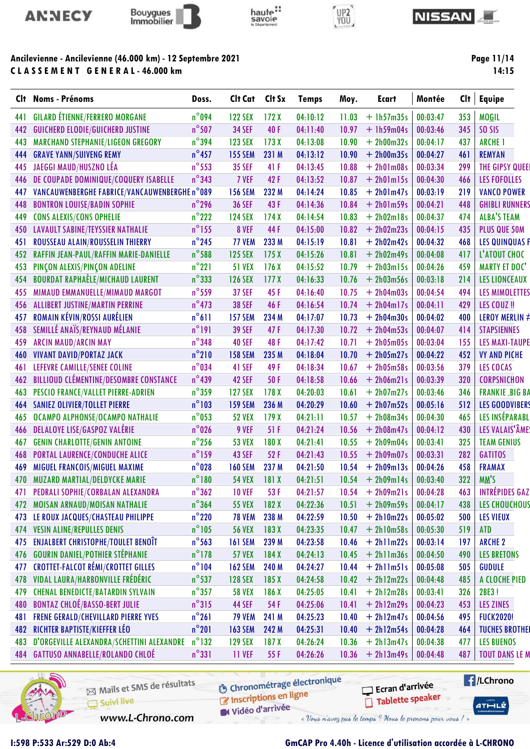



# haute:<br>savoie



#### **NISSAN**

### Ancilevienne - Ancilevienne (46.000 km) - 12 Septembre 2021 CLASSEMENT GENERAL-46.000 km

Page 11/14  $14:15$ 

| $n^{\circ}$ 094<br><b>GILARD ÉTIENNE/FERRERO MORGANE</b><br><b>122 SEX</b><br>172X<br>04:10:12<br>$+1h57m35s$<br>00:03:47<br>353<br>441<br>11.03<br>$n^{\circ}$ 507<br>40F<br>345<br><b>GUICHERD ELODIE/GUICHERD JUSTINE</b><br><b>34 SEF</b><br>04:11:40<br>10.97<br>$+1h59m04s$<br>00:03:46<br>442<br>$n^{\circ}$ 394<br>MARCHAND STEPHANIE/LIGEON GREGORY<br>04:13:08<br>$+ 2h00m32s$<br>00:04:17<br>437<br>443<br><b>123 SEX</b><br>173X<br>10.90<br>$n^{\circ}$ 457<br>444<br><b>GRAVE YANN/SUIVENG REMY</b><br>$+ 2h00m35s$<br>00:04:27<br><b>155 SEM</b><br>231 M<br>04:13:12<br>10.90<br>461<br>$n^{\circ}$ 553<br>JAEGGI MAUD/HUSZNO LÉA<br><b>35 SEF</b><br>41 F<br>04:13:45<br>10.88<br>00:03:34<br>299<br>445<br>$+ 2h01m08s$<br>$n^{\circ}343$<br>DE COUPADE DOMINIQUE/COQUERY ISABELLE<br>42F<br>04:13:52<br>00:04:30<br>466<br>446<br>7 VEF<br>10.87<br>$+ 2h01m15s$<br>VANCAUWENBERGHE FABRICE/VANCAUWENBERGHE n°089<br><b>156 SEM</b><br>232 M<br>04:14:24<br>10.85<br>$+ 2h01m47s$<br>00:03:19<br>219<br>447 | <b>MOGIL</b><br>SO <sub>SIS</sub><br><b>ARCHE 1</b><br><b>REMYAN</b><br>THE GIPSY QUEEI<br><b>LES FOFOLLES</b><br><b>VANCO POWER</b><br><b>GHIBLI RUNNERS</b> |
|--------------------------------------------------------------------------------------------------------------------------------------------------------------------------------------------------------------------------------------------------------------------------------------------------------------------------------------------------------------------------------------------------------------------------------------------------------------------------------------------------------------------------------------------------------------------------------------------------------------------------------------------------------------------------------------------------------------------------------------------------------------------------------------------------------------------------------------------------------------------------------------------------------------------------------------------------------------------------------------------------------------------------------|---------------------------------------------------------------------------------------------------------------------------------------------------------------|
|                                                                                                                                                                                                                                                                                                                                                                                                                                                                                                                                                                                                                                                                                                                                                                                                                                                                                                                                                                                                                                |                                                                                                                                                               |
|                                                                                                                                                                                                                                                                                                                                                                                                                                                                                                                                                                                                                                                                                                                                                                                                                                                                                                                                                                                                                                |                                                                                                                                                               |
|                                                                                                                                                                                                                                                                                                                                                                                                                                                                                                                                                                                                                                                                                                                                                                                                                                                                                                                                                                                                                                |                                                                                                                                                               |
|                                                                                                                                                                                                                                                                                                                                                                                                                                                                                                                                                                                                                                                                                                                                                                                                                                                                                                                                                                                                                                |                                                                                                                                                               |
|                                                                                                                                                                                                                                                                                                                                                                                                                                                                                                                                                                                                                                                                                                                                                                                                                                                                                                                                                                                                                                |                                                                                                                                                               |
|                                                                                                                                                                                                                                                                                                                                                                                                                                                                                                                                                                                                                                                                                                                                                                                                                                                                                                                                                                                                                                |                                                                                                                                                               |
|                                                                                                                                                                                                                                                                                                                                                                                                                                                                                                                                                                                                                                                                                                                                                                                                                                                                                                                                                                                                                                |                                                                                                                                                               |
| $n^{\circ}$ 296<br>43F<br><b>36 SEF</b><br>04:14:36<br>10.84<br>$+ 2h01m59s$<br>00:04:21<br>448<br>448<br><b>BONTRON LOUISE/BADIN SOPHIE</b>                                                                                                                                                                                                                                                                                                                                                                                                                                                                                                                                                                                                                                                                                                                                                                                                                                                                                   |                                                                                                                                                               |
| $n^{\circ}$ 222<br>449<br><b>CONS ALEXIS/CONS OPHELIE</b><br>174X<br>04:14:54<br>10.83<br>$+ 2h02m18s$<br>00:04:37<br>474<br><b>124 SEX</b>                                                                                                                                                                                                                                                                                                                                                                                                                                                                                                                                                                                                                                                                                                                                                                                                                                                                                    | <b>ALBA'S TEAM</b>                                                                                                                                            |
| $n^{\circ}$ 155<br><b>LAVAULT SABINE/TEYSSIER NATHALIE</b><br>8 VEF<br>44 F<br>04:15:00<br>$+ 2h02m23s$<br>00:04:15<br>435<br>450<br>10.82                                                                                                                                                                                                                                                                                                                                                                                                                                                                                                                                                                                                                                                                                                                                                                                                                                                                                     | PLUS QUE 50M                                                                                                                                                  |
| $n^{\circ}$ 245<br>ROUSSEAU ALAIN/ROUSSELIN THIERRY<br>233 M<br>04:15:19<br>10.81<br>00:04:32<br>468<br>451<br><b>77 VEM</b><br>$+ 2h02m42s$                                                                                                                                                                                                                                                                                                                                                                                                                                                                                                                                                                                                                                                                                                                                                                                                                                                                                   | <b>LES QUINQUAS F</b>                                                                                                                                         |
| $n^{\circ}$ 588<br>452<br>RAFFIN JEAN-PAUL/RAFFIN MARIE-DANIELLE<br><b>125 SEX</b><br>175X<br>04:15:26<br>10.81<br>$+ 2h02m49s$<br>00:04:08<br>417                                                                                                                                                                                                                                                                                                                                                                                                                                                                                                                                                                                                                                                                                                                                                                                                                                                                             | L'ATOUT CHOC                                                                                                                                                  |
| $n^{\circ}221$<br>PINÇON ALEXIS/PINÇON ADELINE<br><b>51 VEX</b><br>176X<br>04:15:52<br>10.79<br>$+ 2h03m15s$<br>00:04:26<br>459<br>453                                                                                                                                                                                                                                                                                                                                                                                                                                                                                                                                                                                                                                                                                                                                                                                                                                                                                         | <b>MARTY ET DOC'</b>                                                                                                                                          |
| $n^{\circ}$ 333<br><b>BOURDAT RAPHAÈLE/MICHAUD LAURENT</b><br>00:03:18<br><b>126 SEX</b><br>04:16:33<br>$+ 2h03m56s$<br>214<br>454<br>177 <sub>X</sub><br>10.76                                                                                                                                                                                                                                                                                                                                                                                                                                                                                                                                                                                                                                                                                                                                                                                                                                                                | <b>LES LIONCEAUX</b>                                                                                                                                          |
| $n^{\circ}$ 559<br>MIMAUD EMMANUELLE/MIMAUD MARGOT<br>45F<br>00:04:54<br>494<br>455<br><b>37 SEF</b><br>04:16:40<br>10.75<br>$+ 2h04m03s$                                                                                                                                                                                                                                                                                                                                                                                                                                                                                                                                                                                                                                                                                                                                                                                                                                                                                      | <b>LES MIMOLETTES</b>                                                                                                                                         |
| $n^{\circ}$ 473<br><b>ALLIBERT JUSTINE/MARTIN PERRINE</b><br><b>38 SEF</b><br>46 F<br>00:04:11<br>429<br>456<br>04:16:54<br>10.74<br>$+ 2h04m17s$                                                                                                                                                                                                                                                                                                                                                                                                                                                                                                                                                                                                                                                                                                                                                                                                                                                                              | LES COUZ !!                                                                                                                                                   |
| $n^{\circ}611$<br>ROMAIN KÉVIN/ROSSI AURÉLIEN<br>234 M<br>00:04:02<br>457<br><b>157 SEM</b><br>04:17:07<br>10.73<br>$+ 2h04m30s$<br>400                                                                                                                                                                                                                                                                                                                                                                                                                                                                                                                                                                                                                                                                                                                                                                                                                                                                                        | <b>LEROY MERLIN #</b>                                                                                                                                         |
| SEMILLÉ ANAÏS/REYNAUD MÉLANIE<br>$n^{\circ}$ 191<br>458<br><b>39 SEF</b><br>47F<br>04:17:30<br>10.72<br>$+ 2h04m53s$<br>00:04:07<br>414                                                                                                                                                                                                                                                                                                                                                                                                                                                                                                                                                                                                                                                                                                                                                                                                                                                                                        | <b>STAPSIENNES</b>                                                                                                                                            |
| $n^{\circ}$ 348<br>48F<br>459<br><b>ARCIN MAUD/ARCIN MAY</b><br><b>40 SEF</b><br>04:17:42<br>10.71<br>$+ 2h05m05s$<br>00:03:04<br>155                                                                                                                                                                                                                                                                                                                                                                                                                                                                                                                                                                                                                                                                                                                                                                                                                                                                                          | <b>LES MAXI-TAUPE</b>                                                                                                                                         |
| $n^{\circ}$ 210<br><b>VIVANT DAVID/PORTAZ JACK</b><br><b>158 SEM</b><br>235 M<br>04:18:04<br>$+ 2h05m27s$<br>00:04:22<br>452<br>460<br>10.70                                                                                                                                                                                                                                                                                                                                                                                                                                                                                                                                                                                                                                                                                                                                                                                                                                                                                   | <b>VY AND PICHE</b>                                                                                                                                           |
| $n^{\circ}034$<br>49 F<br>379<br>461<br>LEFEVRE CAMILLE/SENEE COLINE<br>41 SEF<br>04:18:34<br>10.67<br>$+ 2h05m58s$<br>00:03:56                                                                                                                                                                                                                                                                                                                                                                                                                                                                                                                                                                                                                                                                                                                                                                                                                                                                                                | LES COCAS                                                                                                                                                     |
| $n^{\circ}$ 439<br><b>BILLIOUD CLÉMENTINE/DESOMBRE CONSTANCE</b><br>42 SEF<br>50F<br>00:03:39<br>320<br>462<br>04:18:58<br>10.66<br>$+ 2h06m21s$                                                                                                                                                                                                                                                                                                                                                                                                                                                                                                                                                                                                                                                                                                                                                                                                                                                                               | <b>CORPSNICHON</b>                                                                                                                                            |
| $n^{\circ}$ 359<br>PESCIO FRANCE/VALLET PIERRE-ADRIEN<br><b>127 SEX</b><br>178X<br>04:20:03<br>$+ 2h07m27s$<br>00:03:46<br>346<br>463<br>10.61                                                                                                                                                                                                                                                                                                                                                                                                                                                                                                                                                                                                                                                                                                                                                                                                                                                                                 | <b>FRANKIE_BIG BA</b>                                                                                                                                         |
| $n^{\circ}103$<br><b>SANIEZ OLIVIER/TOLLET PIERRE</b><br><b>159 SEM</b><br>04:20:29<br>$+ 2h07m52s$<br>00:05:16<br>512<br>464<br>236 M<br>10.60                                                                                                                                                                                                                                                                                                                                                                                                                                                                                                                                                                                                                                                                                                                                                                                                                                                                                | <b>LES GOODVIBERS</b>                                                                                                                                         |
| $n^{\circ}$ 053<br>OCAMPO ALPHONSE/OCAMPO NATHALIE<br>00:04:30<br>465<br>465<br><b>52 VEX</b><br>179X<br>04:21:11<br>10.57<br>$+ 2h08m34s$                                                                                                                                                                                                                                                                                                                                                                                                                                                                                                                                                                                                                                                                                                                                                                                                                                                                                     | LES INSÉPARABL                                                                                                                                                |
| DELALOYE LISE/GASPOZ VALÉRIE<br>$n^{\circ}$ 026<br>9 VEF<br>51 F<br>04:21:24<br>$+ 2h08m47s$<br>00:04:12<br>430<br>466<br>10.56                                                                                                                                                                                                                                                                                                                                                                                                                                                                                                                                                                                                                                                                                                                                                                                                                                                                                                | LES VALAIS'ÂME                                                                                                                                                |
| $n^{\circ}$ 256<br><b>GENIN CHARLOTTE/GENIN ANTOINE</b><br><b>53 VEX</b><br>180 X<br>04:21:41<br>00:03:41<br>325<br>467<br>10.55<br>$+ 2h09m04s$                                                                                                                                                                                                                                                                                                                                                                                                                                                                                                                                                                                                                                                                                                                                                                                                                                                                               | <b>TEAM GENIUS</b>                                                                                                                                            |
| $n^{\circ}$ 159<br>PORTAL LAURENCE/CONDUCHE ALICE<br><b>43 SEF</b><br>52F<br>04:21:43<br>10.55<br>00:03:31<br>282<br>468<br>$+ 2h09m07s$                                                                                                                                                                                                                                                                                                                                                                                                                                                                                                                                                                                                                                                                                                                                                                                                                                                                                       | <b>GATITOS</b>                                                                                                                                                |
| $n^{\circ}028$<br>MIGUEL FRANCOIS/MIGUEL MAXIME<br><b>160 SEM</b><br>237 M<br>04:21:50<br>$+ 2h09m13s$<br>00:04:26<br>458<br>469<br>10.54                                                                                                                                                                                                                                                                                                                                                                                                                                                                                                                                                                                                                                                                                                                                                                                                                                                                                      | <b>FRAMAX</b>                                                                                                                                                 |
| $n^{\circ}$ 180<br>322<br><b>54 VEX</b><br>181X<br>00:03:40<br><b>MUZARD MARTIAL/DELDYCKE MARIE</b><br>04:21:51<br>10.54<br>$+ 2h09m14s$<br>470                                                                                                                                                                                                                                                                                                                                                                                                                                                                                                                                                                                                                                                                                                                                                                                                                                                                                | MM'S                                                                                                                                                          |
| $n^{\circ}362$<br>PEDRALI SOPHIE/CORBALAN ALEXANDRA<br>53 F<br>04:21:57<br><b>10 VEF</b><br>10.54<br>$+ 2h09m21s$<br>00:04:28<br>463<br>471                                                                                                                                                                                                                                                                                                                                                                                                                                                                                                                                                                                                                                                                                                                                                                                                                                                                                    | <b>INTRÉPIDES GAZ</b>                                                                                                                                         |
| $n^{\circ}$ 364<br>MOISAN ARNAUD/MOISAN NATHALIE<br><b>55 VEX</b><br>182X<br>04:22:36<br>$+ 2h09m59s$<br>00:04:17<br>438<br>472<br>10.51                                                                                                                                                                                                                                                                                                                                                                                                                                                                                                                                                                                                                                                                                                                                                                                                                                                                                       | LES CHOUCHOUS                                                                                                                                                 |
| $n^{\circ}$ 220<br>LE ROUX JACQUES/CHASTEAU PHILIPPE<br><b>78 VEM</b><br>238 M<br>04:22:59<br>10.50<br>$+ 2h10m22s$<br>00:05:02<br>473<br>500                                                                                                                                                                                                                                                                                                                                                                                                                                                                                                                                                                                                                                                                                                                                                                                                                                                                                  | <b>LES VIEUX</b>                                                                                                                                              |
| $n^{\circ}105$<br><b>VESIN ALINE/REPULLES DENIS</b><br>$+ 2h10m58s$<br>00:05:30<br><b>56 VEX</b><br>183X<br>04:23:35<br>10.47<br>519<br>474                                                                                                                                                                                                                                                                                                                                                                                                                                                                                                                                                                                                                                                                                                                                                                                                                                                                                    | <b>ATD</b>                                                                                                                                                    |
| $n^{\circ}$ 563<br>ENJALBERT CHRISTOPHE/TOULET BENOÎT<br>$+ 2h1lm22s$<br>00:03:14<br><b>161 SEM</b><br>239 M<br>04:23:58<br>10.46<br>197<br>475                                                                                                                                                                                                                                                                                                                                                                                                                                                                                                                                                                                                                                                                                                                                                                                                                                                                                | <b>ARCHE 2</b>                                                                                                                                                |
| <b>GOURIN DANIEL/POTHIER STÉPHANIE</b><br>$n^{\circ}$ 178<br>$+ 2h11m36s$<br>00:04:50<br>476<br><b>57 VEX</b><br>184X<br>04:24:13<br>490<br>10.45                                                                                                                                                                                                                                                                                                                                                                                                                                                                                                                                                                                                                                                                                                                                                                                                                                                                              | <b>LES BRETONS</b>                                                                                                                                            |
| <b>CROTTET-FALCOT RÉMI/CROTTET GILLES</b><br>$n^{\circ}104$<br><b>162 SEM</b><br>477<br>240 M<br>04:24:27<br>10.44<br>$+ 2h11m51s$<br>00:05:08<br>505                                                                                                                                                                                                                                                                                                                                                                                                                                                                                                                                                                                                                                                                                                                                                                                                                                                                          | <b>GUDULE</b>                                                                                                                                                 |
| VIDAL LAURA/HARBONVILLE FRÉDÉRIC<br>$n^{\circ}$ 537<br>$+ 2h12m22s$<br>478<br><b>128 SEX</b><br>185X<br>04:24:58<br>00:04:48<br>10.42<br>485                                                                                                                                                                                                                                                                                                                                                                                                                                                                                                                                                                                                                                                                                                                                                                                                                                                                                   | A CLOCHE PIED                                                                                                                                                 |
| <b>CHENAL BENEDICTE/BATARDIN SYLVAIN</b><br>$n^{\circ}357$<br>479<br><b>58 VEX</b><br>186X<br>04:25:05<br>10.41<br>$+ 2h12m28s$<br>00:03:41<br>326                                                                                                                                                                                                                                                                                                                                                                                                                                                                                                                                                                                                                                                                                                                                                                                                                                                                             | 2BE3!                                                                                                                                                         |
| <b>BONTAZ CHLOÉ/BASSO-BERT JULIE</b><br>$n^{\circ}315$<br>480<br>54 F<br>00:04:23<br><b>44 SEF</b><br>04:25:06<br>10.41<br>$+ 2h12m29s$<br>453                                                                                                                                                                                                                                                                                                                                                                                                                                                                                                                                                                                                                                                                                                                                                                                                                                                                                 | <b>LES ZINES</b>                                                                                                                                              |
| $n^{\circ}261$<br><b>FRENE GERALD/CHEVILLARD PIERRE YVES</b><br>$+ 2h12m47s$<br>481<br><b>79 VEM</b><br>241 M<br>04:25:23<br>10.40<br>00:04:56<br>495                                                                                                                                                                                                                                                                                                                                                                                                                                                                                                                                                                                                                                                                                                                                                                                                                                                                          | <b>FUCK2020!</b>                                                                                                                                              |
| $n^{\circ}201$<br>RICHTER BAPTISTE/KIEFFER LÉO<br>482<br><b>163 SEM</b><br>$+ 2h12m54s$<br>00:04:28<br>242 M<br>04:25:31<br>10.40<br>464                                                                                                                                                                                                                                                                                                                                                                                                                                                                                                                                                                                                                                                                                                                                                                                                                                                                                       | <b>TUCHES BROTHEI</b>                                                                                                                                         |
| $n^{\circ}132$<br>D'ORGEVILLE ALEXANDRA/SCHETTINI ALEXANDRE<br>483<br><b>129 SEX</b><br>187 <sub>X</sub><br>04:26:24<br>10.36<br>$+ 2h13m47s$<br>00:04:38<br>477                                                                                                                                                                                                                                                                                                                                                                                                                                                                                                                                                                                                                                                                                                                                                                                                                                                               | <b>LES BUENOS</b>                                                                                                                                             |
| $n^{\circ}331$<br>484 GATTUSO ANNABELLE/ROLANDO CHLOÉ<br>$+ 2h13m49s$<br><b>11 VEF</b><br>55 F<br>04:26:26<br>00:04:48<br>10.36<br>487                                                                                                                                                                                                                                                                                                                                                                                                                                                                                                                                                                                                                                                                                                                                                                                                                                                                                         | <b>TOUT DANS LE M</b>                                                                                                                                         |



Mails et SMS de résultats Suivi live

**6** Chronométrage électronique

**E**/LChrono Ecran d'arrivée Tablette speaker

 $ATHLZ$ 

Inscriptions en ligne

www.L-Chrono.com

Vidéo d'arrivée « Vous n'avez pas le temps ? Nous le prenons pour vous / »

1:598 P:533 Ar:529 D:0 Ab:4

**GmCAP Pro 4.40h - Licence d'utilisation accordée à L-CHRONO**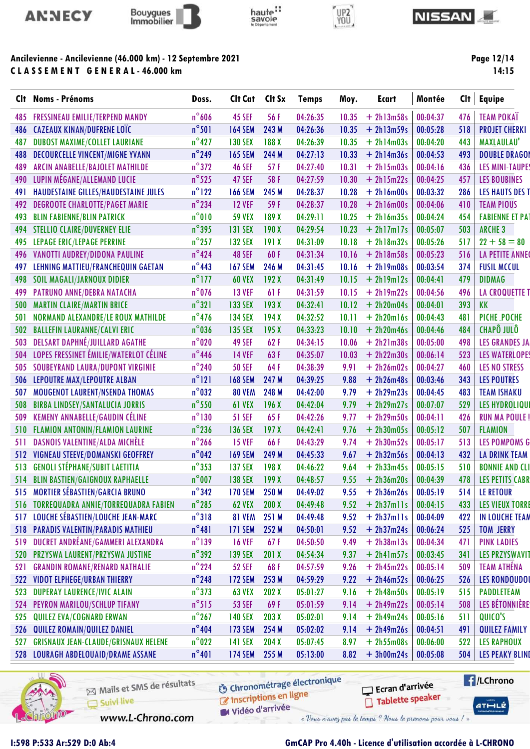



# haute:<br>savoie



#### **NISSAN**

## Ancilevienne - Ancilevienne (46.000 km) - 12 Septembre 2021 CLASSEMENT GENERAL-46.000 km

Page 12/14  $14:15$ 

|     | Clt Noms - Prénoms                          | Doss.           | Clt Cat        | Clt Sx | <b>Temps</b> | Moy.  | <b>Ecart</b> | Montée   | Clt | <b>Equipe</b>          |
|-----|---------------------------------------------|-----------------|----------------|--------|--------------|-------|--------------|----------|-----|------------------------|
| 485 | <b>FRESSINEAU EMILIE/TERPEND MANDY</b>      | $n^{\circ}$ 606 | <b>45 SEF</b>  | 56 F   | 04:26:35     | 10.35 | $+ 2h13m58s$ | 00:04:37 | 476 | <b>TEAM POKAÏ</b>      |
|     | 486 CAZEAUX KINAN/DUFRENE LOÏC              | $n^{\circ}501$  | <b>164 SEM</b> | 243 M  | 04:26:36     | 10.35 | $+ 2h13m59s$ | 00:05:28 | 518 | <b>PROJET CHERKI</b>   |
| 487 | <b>DUBOST MAXIME/COLLET LAURIANE</b>        | $n^{\circ}427$  | <b>130 SEX</b> | 188 X  | 04:26:39     | 10.35 | $+ 2h14m03s$ | 00:04:20 | 443 | <b>MAXLAULAU'</b>      |
| 488 | <b>DECOURCELLE VINCENT/MIGNE YVANN</b>      | $n^{\circ}$ 249 | <b>165 SEM</b> | 244 M  | 04:27:13     | 10.33 | $+ 2h14m36s$ | 00:04:53 | 493 | <b>DOUBLE DRAGOI</b>   |
| 489 | ARCIN ANABELLE/BAJOLET MATHILDE             | $n^{\circ}372$  | <b>46 SEF</b>  | 57F    | 04:27:40     | 10.31 | $+ 2h15m03s$ | 00:04:16 | 436 | <b>LES MINI-TAUPE</b>  |
| 490 | LUPIN MÉGANE/ALLEMAND LUCIE                 | $n^{\circ}$ 525 | 47 SEF         | 58 F   | 04:27:59     | 10.30 | $+ 2h15m22s$ | 00:04:25 | 457 | <b>LES BOUBINES</b>    |
| 491 | HAUDESTAINE GILLES/HAUDESTAINE JULES        | $n^{\circ}$ 122 | <b>166 SEM</b> | 245 M  | 04:28:37     | 10.28 | $+ 2h16m00s$ | 00:03:32 | 286 | <b>LES HAUTS DES T</b> |
| 492 | <b>DEGROOTE CHARLOTTE/PAGET MARIE</b>       | $n^{\circ}$ 234 | <b>12 VEF</b>  | 59F    | 04:28:37     | 10.28 | $+ 2h16m00s$ | 00:04:06 | 410 | <b>TEAM PIOUS</b>      |
| 493 | <b>BLIN FABIENNE/BLIN PATRICK</b>           | $n^{\circ}010$  | <b>59 VEX</b>  | 189 X  | 04:29:11     | 10.25 | $+ 2h16m35s$ | 00:04:24 | 454 | <b>FABIENNE ET PAT</b> |
| 494 | <b>STELLIO CLAIRE/DUVERNEY ELIE</b>         | $n^{\circ}$ 395 | <b>131 SEX</b> | 190X   | 04:29:54     | 10.23 | $+ 2h17m17s$ | 00:05:07 | 503 | <b>ARCHE 3</b>         |
| 495 | <b>LEPAGE ERIC/LEPAGE PERRINE</b>           | $n^{\circ}$ 257 | <b>132 SEX</b> | 191X   | 04:31:09     | 10.18 | $+ 2h18m32s$ | 00:05:26 | 517 | $22 + 58 = 80$         |
| 496 | VANOTTI AUDREY/DIDONA PAULINE               | $n^{\circ}$ 424 | 48 SEF         | 60F    | 04:31:34     | 10.16 | $+ 2h18m58s$ | 00:05:23 | 516 | <b>LA PETITE ANNE</b>  |
| 497 | LEHNING MATTIEU/FRANCHEQUIN GAETAN          | $n^{\circ}$ 443 | <b>167 SEM</b> | 246 M  | 04:31:45     | 10.16 | $+ 2h19m08s$ | 00:03:54 | 374 | <b>FUSIL MCCUL</b>     |
| 498 | <b>SOIL MAGALI/JARNOUX DIDIER</b>           | $n^{\circ}$ 177 | <b>60 VEX</b>  | 192X   | 04:31:49     | 10.15 | $+ 2h19m12s$ | 00:04:41 | 479 | <b>DIDMAG</b>          |
| 499 | PATRUNO ANNE/DEBRA NATACHA                  | $n^{\circ}$ 076 | <b>13 VEF</b>  | 61 F   | 04:31:59     | 10.15 | $+ 2h19m22s$ | 00:04:56 | 496 | <b>LA CROQUETTE T</b>  |
| 500 | <b>MARTIN CLAIRE/MARTIN BRICE</b>           | $n^{\circ}321$  | <b>133 SEX</b> | 193X   | 04:32:41     | 10.12 | $+ 2h20m04s$ | 00:04:01 | 393 | KK                     |
| 501 | NORMAND ALEXANDRE/LE ROUX MATHILDE          | $n^{\circ}$ 476 | <b>134 SEX</b> | 194X   | 04:32:52     | 10.11 | $+ 2h20ml6s$ | 00:04:43 | 481 | PICHE_POCHE            |
| 502 | <b>BALLEFIN LAURANNE/CALVI ERIC</b>         | $n^{\circ}$ 036 | <b>135 SEX</b> | 195X   | 04:33:23     | 10.10 | $+ 2h20m46s$ | 00:04:46 | 484 | <b>CHAPÔ JULÔ</b>      |
| 503 | <b>DELSART DAPHNÉ/JUILLARD AGATHE</b>       | $n^{\circ}020$  | 49 SEF         | 62F    | 04:34:15     | 10.06 | $+ 2h21m38s$ | 00:05:00 | 498 | <b>LES GRANDES JA</b>  |
| 504 | LOPES FRESSINET ÉMILIE/WATERLOT CÉLINE      | $n^{\circ}$ 446 | <b>14 VEF</b>  | 63F    | 04:35:07     | 10.03 | $+ 2h22m30s$ | 00:06:14 | 523 | <b>LES WATERLOPES</b>  |
| 505 | <b>SOUBEYRAND LAURA/DUPONT VIRGINIE</b>     | $n^{\circ}$ 240 | <b>50 SEF</b>  | 64F    | 04:38:39     | 9.91  | $+ 2h26m02s$ | 00:04:27 | 460 | <b>LES NO STRESS</b>   |
| 506 | LEPOUTRE MAX/LEPOUTRE ALBAN                 | $n^{\circ}121$  | <b>168 SEM</b> | 247 M  | 04:39:25     | 9.88  | $+ 2h26m48s$ | 00:03:46 | 343 | <b>LES POUTRES</b>     |
| 507 | <b>MOUGENOT LAURENT/NSENDA THOMAS</b>       | $n^{\circ}032$  | <b>80 VEM</b>  | 248 M  | 04:42:00     | 9.79  | $+ 2h29m23s$ | 00:04:45 | 483 | <b>TEAM ISHAKU</b>     |
| 508 | <b>BIRBA LINDSEY/SANTALUCIA JORRIS</b>      | $n^{\circ}$ 550 | <b>61 VEX</b>  | 196X   | 04:42:04     | 9.79  | $+ 2h29m27s$ | 00:07:07 | 529 | <b>LES HYDROLIQU</b>   |
| 509 | KEMENY ANNABELLE/GAUDIN CÉLINE              | $n^{\circ}$ 130 | <b>51 SEF</b>  | 65F    | 04:42:26     | 9.77  | $+ 2h29m50s$ | 00:04:11 | 426 | <b>RUN MA POULE!</b>   |
| 510 | FLAMION ANTONIN/FLAMION LAURINE             | $n^{\circ}$ 236 | <b>136 SEX</b> | 197X   | 04:42:41     | 9.76  | $+ 2h30m05s$ | 00:05:12 | 507 | <b>FLAMION</b>         |
| 511 | DASNOIS VALENTINE/ALDA MICHÈLE              | $n^{\circ}$ 266 | <b>15 VEF</b>  | 66F    | 04:43:29     | 9.74  | $+ 2h30m52s$ | 00:05:17 | 513 | <b>LES POMPOMS G</b>   |
| 512 | VIGNEAU STEEVE/DOMANSKI GEOFFREY            | $n^{\circ}$ 042 | <b>169 SEM</b> | 249 M  | 04:45:33     | 9.67  | $+ 2h32m56s$ | 00:04:13 | 432 | <b>LA DRINK TEAM</b>   |
| 513 | <b>GENOLI STÉPHANE/SUBIT LAETITIA</b>       | $n^{\circ}353$  | <b>137 SEX</b> | 198 X  | 04:46:22     | 9.64  | $+ 2h33m45s$ | 00:05:15 | 510 | <b>BONNIE AND CLI</b>  |
|     | 514 BLIN BASTIEN/GAIGNOUX RAPHAELLE         | $n^{\circ}$ 007 | <b>138 SEX</b> | 199X   | 04:48:57     | 9.55  | $+ 2h36m20s$ | 00:04:39 | 478 | <b>LES PETITS CABR</b> |
|     | 515 MORTIER SÉBASTIEN/GARCIA BRUNO          | $n^{\circ}342$  | <b>170 SEM</b> | 250 M  | 04:49:02     | 9.55  | $+ 2h36m26s$ | 00:05:19 | 514 | LE RETOUR              |
| 516 | <b>TORREQUADRA ANNIE/TORREQUADRA FABIEN</b> | $n^{\circ}$ 285 | <b>62 VEX</b>  | 200X   | 04:49:48     | 9.52  | $+ 2h37m11s$ | 00:04:15 | 433 | <b>LES VIEUX TORRI</b> |
|     | 517 LOUCHE SÉBASTIEN/LOUCHE JEAN-MARC       | $n^{\circ}318$  | <b>81 VEM</b>  | 251 M  | 04:49:48     | 9.52  | $+ 2h37m11s$ | 00:04:09 | 422 | IN LOUCHE TEAM         |
|     | 518 PARADIS VALENTIN/PARADIS MATHIEU        | $n^{\circ}481$  | <b>171 SEM</b> | 252 M  | 04:50:01     | 9.52  | $+ 2h37m24s$ | 00:06:24 | 525 | <b>TOM_JERRY</b>       |
| 519 | DUCRET ANDRÉANE/GAMMERI ALEXANDRA           | $n^{\circ}$ 139 | <b>16 VEF</b>  | 67F    | 04:50:50     | 9.49  | $+ 2h38m13s$ | 00:04:34 | 471 | <b>PINK LADIES</b>     |
|     | 520 PRZYSWA LAURENT/PRZYSWA JUSTINE         | $n^{\circ}392$  | <b>139 SEX</b> | 201X   | 04:54:34     | 9.37  | $+ 2h4lm57s$ | 00:03:45 | 341 | <b>LES PRZYSWAVIT</b>  |
| 521 | <b>GRANDIN ROMANE/RENARD NATHALIE</b>       | $n^{\circ}$ 224 | <b>52 SEF</b>  | 68F    | 04:57:59     | 9.26  | $+ 2h45m22s$ | 00:05:14 | 509 | <b>TEAM ATHÉNA</b>     |
| 522 | <b>VIDOT ELPHEGE/URBAN THIERRY</b>          | $n^{\circ}$ 248 | <b>172 SEM</b> | 253 M  | 04:59:29     | 9.22  | $+ 2h46m52s$ | 00:06:25 | 526 | <b>LES RONDOUDOI</b>   |
| 523 | <b>DUPERAY LAURENCE/IVIC ALAIN</b>          | $n^{\circ}$ 373 | <b>63 VEX</b>  | 202X   | 05:01:27     | 9.16  | $+ 2h48m50s$ | 00:05:19 | 515 | <b>PADDLETEAM</b>      |
| 524 | PEYRON MARILOU/SCHLUP TIFANY                | $n^{\circ}515$  | <b>53 SEF</b>  | 69F    | 05:01:59     | 9.14  | $+ 2h49m22s$ | 00:05:14 | 508 | LES BÉTONNIÈRE         |
| 525 | QUILEZ EVA/COGNARD ERWAN                    | $n^{\circ}$ 267 | <b>140 SEX</b> | 203X   | 05:02:01     | 9.14  | $+ 2h49m24s$ | 00:05:16 | 511 | QUICO'S                |
| 526 | QUILEZ ROMAIN/QUILEZ DANIEL                 | $n^{\circ}404$  | <b>173 SEM</b> | 254 M  | 05:02:02     | 9.14  | $+ 2h49m26s$ | 00:04:51 | 491 | <b>QUILEZ FAMILY</b>   |
| 527 | <b>GRISNAUX JEAN-CLAUDE/GRISNAUX HELENE</b> | $n^{\circ}$ 022 | <b>141 SEX</b> | 204X   | 05:07:45     | 8.97  | $+ 2h55m08s$ | 00:06:00 | 522 | <b>LES RAPHOUX</b>     |
|     | 528 LOURAGH ABDELOUAID/DRAME ASSANE         | $n^{\circ}401$  | <b>174 SEM</b> | 255 M  | 05:13:00     | 8.82  | $+3h00m24s$  | 00:05:08 | 504 | <b>LES PEAKY BLINI</b> |
|     |                                             |                 |                |        |              |       |              |          |     |                        |



Mails et SMS de résultats Suivi live

**6** Chronométrage électronique

**E**/LChrono Ecran d'arrivée Tablette speaker

 $ATHLZ$ 

Vidéo d'arrivée

www.L-Chrono.com

Inscriptions en ligne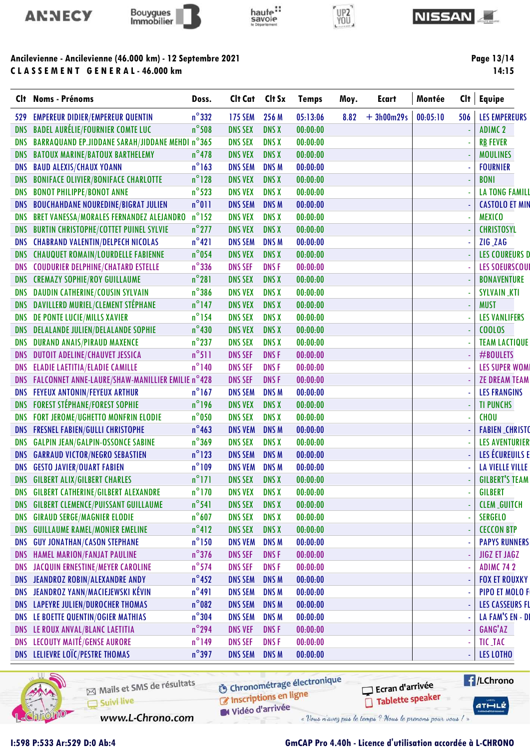



# haute:





### Ancilevienne - Ancilevienne (46.000 km) - 12 Septembre 2021 C L A S S E M E N T G E N E R A L - 46.000 km

| CI†        | <b>Noms - Prénoms</b>                            | Doss.           | Clt Cat        | Clt Sx           | <b>Temps</b> | Moy. | <b>Ecart</b> | Montée   | Clt | Equipe                 |
|------------|--------------------------------------------------|-----------------|----------------|------------------|--------------|------|--------------|----------|-----|------------------------|
| 529        | <b>EMPEREUR DIDIER/EMPEREUR QUENTIN</b>          | $n^{\circ}332$  | <b>175 SEM</b> | 256 M            | 05:13:06     | 8.82 | $+3h00m29s$  | 00:05:10 | 506 | <b>LES EMPEREURS</b>   |
| <b>DNS</b> | <b>BADEL AURÉLIE/FOURNIER COMTE LUC</b>          | $n^{\circ}$ 508 | <b>DNS SEX</b> | <b>DNS X</b>     | 00:00:00     |      |              |          |     | <b>ADIMC 2</b>         |
| <b>DNS</b> | BARRAQUAND EP.JIDDANE SARAH/JIDDANE MEHDI n°365  |                 | <b>DNS SEX</b> | <b>DNS X</b>     | 00:00:00     |      |              |          |     | <b>RB FEVER</b>        |
| DNS        | <b>BATOUX MARINE/BATOUX BARTHELEMY</b>           | $n^{\circ}$ 478 | <b>DNS VEX</b> | <b>DNS X</b>     | 00:00:00     |      |              |          |     | <b>MOULINES</b>        |
| <b>DNS</b> | <b>BAUD ALEXIS/CHAUX YOANN</b>                   | $n^{\circ}$ 163 | <b>DNS SEM</b> | <b>DNS M</b>     | 00:00:00     |      |              |          |     | <b>FOURNIER</b>        |
| <b>DNS</b> | <b>BONIFACE OLIVIER/BONIFACE CHARLOTTE</b>       | $n^{\circ}$ 128 | <b>DNS VEX</b> | <b>DNS X</b>     | 00:00:00     |      |              |          |     | <b>BONI</b>            |
| <b>DNS</b> | <b>BONOT PHILIPPE/BONOT ANNE</b>                 | $n^{\circ}$ 523 | <b>DNS VEX</b> | <b>DNS X</b>     | 00:00:00     |      |              |          |     | <b>LA TONG FAMILL</b>  |
| <b>DNS</b> | <b>BOUCHAHDANE NOUREDINE/BIGRAT JULIEN</b>       | $n^{\circ}011$  | <b>DNS SEM</b> | <b>DNSM</b>      | 00:00:00     |      |              |          |     | <b>CASTOLO ET MIN</b>  |
| DNS        | BRET VANESSA/MORALES FERNANDEZ ALEJANDRO         | $n^{\circ}$ 152 | <b>DNS VEX</b> | <b>DNS X</b>     | 00:00:00     |      |              |          |     | <b>MEXICO</b>          |
| <b>DNS</b> | <b>BURTIN CHRISTOPHE/COTTET PUINEL SYLVIE</b>    | $n^{\circ}$ 277 | <b>DNS VEX</b> | <b>DNS X</b>     | 00:00:00     |      |              |          |     | <b>CHRISTOSYL</b>      |
| <b>DNS</b> | <b>CHABRAND VALENTIN/DELPECH NICOLAS</b>         | $n^{\circ}421$  | <b>DNS SEM</b> | <b>DNSM</b>      | 00:00:00     |      |              |          |     | ZIG_ZAG                |
| <b>DNS</b> | <b>CHAUQUET ROMAIN/LOURDELLE FABIENNE</b>        | $n^{\circ}$ 054 | <b>DNS VEX</b> | <b>DNS X</b>     | 00:00:00     |      |              |          |     | <b>LES COUREURS D</b>  |
| <b>DNS</b> | <b>COUDURIER DELPHINE/CHATARD ESTELLE</b>        | $n^{\circ}$ 336 | <b>DNS SEF</b> | DNS <sub>F</sub> | 00:00:00     |      |              |          |     | <b>LES SOEURSCOUI</b>  |
|            | DNS CREMAZY SOPHIE/ROY GUILLAUME                 | $n^{\circ}281$  | <b>DNS SEX</b> | <b>DNS X</b>     | 00:00:00     |      |              |          |     | <b>BONAVENTURE</b>     |
| <b>DNS</b> | <b>DAUDIN CATHERINE/COUSIN SYLVAIN</b>           | $n^{\circ}$ 386 | <b>DNS VEX</b> | <b>DNS X</b>     | 00:00:00     |      |              |          |     | <b>SYLVAIN_KTI</b>     |
| <b>DNS</b> | DAVILLERD MURIEL/CLEMENT STÉPHANE                | $n^{\circ}$ 147 | <b>DNS VEX</b> | <b>DNS X</b>     | 00:00:00     |      |              |          |     | <b>MUST</b>            |
| <b>DNS</b> | DE PONTE LUCIE/MILLS XAVIER                      | $n^{\circ}$ 154 | <b>DNS SEX</b> | <b>DNS X</b>     | 00:00:00     |      |              |          |     | <b>LES VANLIFERS</b>   |
| <b>DNS</b> | <b>DELALANDE JULIEN/DELALANDE SOPHIE</b>         | $n^{\circ}430$  | <b>DNS VEX</b> | <b>DNS X</b>     | 00:00:00     |      |              |          |     | <b>COOLOS</b>          |
| <b>DNS</b> | <b>DURAND ANAIS/PIRAUD MAXENCE</b>               | $n^{\circ}$ 237 | <b>DNS SEX</b> | <b>DNS X</b>     | 00:00:00     |      |              |          |     | <b>TEAM LACTIQUE</b>   |
| <b>DNS</b> | <b>DUTOIT ADELINE/CHAUVET JESSICA</b>            | $n^{\circ}511$  | <b>DNS SEF</b> | <b>DNSF</b>      | 00:00:00     |      |              |          |     | #BOULETS               |
| <b>DNS</b> | <b>ELADIE LAETITIA/ELADIE CAMILLE</b>            | $n^{\circ}$ 140 | <b>DNS SEF</b> | <b>DNSF</b>      | 00:00:00     |      |              |          |     | <b>LES SUPER WOMI</b>  |
| <b>DNS</b> | FALCONNET ANNE-LAURE/SHAW-MANILLIER EMILIE n°428 |                 | <b>DNS SEF</b> | <b>DNSF</b>      | 00:00:00     |      |              |          |     | <b>ZE DREAM TEAM</b>   |
| <b>DNS</b> | <b>FEYEUX ANTONIN/FEYEUX ARTHUR</b>              | $n^{\circ}$ 167 | <b>DNS SEM</b> | <b>DNS M</b>     | 00:00:00     |      |              |          |     | <b>LES FRANGINS</b>    |
|            | <b>DNS FOREST STÉPHANE/FOREST SOPHIE</b>         | $n^{\circ}$ 196 | <b>DNS VEX</b> | <b>DNS X</b>     | 00:00:00     |      |              |          |     | <b>TI PUNCHS</b>       |
| <b>DNS</b> | FORT JEROME/UGHETTO MONFRIN ELODIE               | $n^{\circ}$ 050 | <b>DNS SEX</b> | <b>DNS X</b>     | 00:00:00     |      |              |          |     | <b>CHOU</b>            |
| <b>DNS</b> | <b>FRESNEL FABIEN/GULLI CHRISTOPHE</b>           | $n^{\circ}$ 463 | <b>DNS VEM</b> | <b>DNSM</b>      | 00:00:00     |      |              |          |     | <b>FABIEN_CHRISTO</b>  |
| <b>DNS</b> | <b>GALPIN JEAN/GALPIN-OSSONCE SABINE</b>         | $n^{\circ}369$  | <b>DNS SEX</b> | <b>DNS X</b>     | 00:00:00     |      |              |          |     | <b>LES AVENTURIER</b>  |
| <b>DNS</b> | <b>GARRAUD VICTOR/NEGRO SEBASTIEN</b>            | $n^{\circ}$ 123 | <b>DNS SEM</b> | <b>DNS M</b>     | 00:00:00     |      |              |          |     | LES ÉCUREUILS E        |
| <b>DNS</b> | <b>GESTO JAVIER/OUART FABIEN</b>                 | $n^{\circ}109$  | <b>DNS VEM</b> | <b>DNS M</b>     | 00:00:00     |      |              |          |     | <b>LA VIELLE VILLE</b> |
|            | <b>DNS GILBERT ALIX/GILBERT CHARLES</b>          | $n^{\circ}$ 171 | <b>DNS SEX</b> | <b>DNS X</b>     | 00:00:00     |      |              |          |     | <b>GILBERT'S TEAM</b>  |
|            | DNS GILBERT CATHERINE/GILBERT ALEXANDRE          | $n^{\circ}$ 170 | <b>DNS VEX</b> | <b>DNS X</b>     | 00:00:00     |      |              |          |     | <b>GILBERT</b>         |
| DNS        | <b>GILBERT CLEMENCE/PUISSANT GUILLAUME</b>       | $n^{\circ}$ 541 | <b>DNS SEX</b> | <b>DNS X</b>     | 00:00:00     |      |              |          |     | <b>CLEM_GUITCH</b>     |
| DNS        | <b>GIRAUD SERGE/MAGNIER ELODIE</b>               | $n^{\circ}$ 607 | <b>DNS SEX</b> | <b>DNS X</b>     | 00:00:00     |      |              |          |     | <b>SERGELO</b>         |
| <b>DNS</b> | <b>GUILLAUME RAMEL/MONIER EMELINE</b>            | $n^{\circ}412$  | <b>DNS SEX</b> | <b>DNS X</b>     | 00:00:00     |      |              |          |     | <b>CECCON BTP</b>      |
| <b>DNS</b> | <b>GUY JONATHAN/CASON STEPHANE</b>               | $n^{\circ}$ 150 | <b>DNS VEM</b> | <b>DNSM</b>      | 00:00:00     |      |              |          |     | <b>PAPYS RUNNERS</b>   |
|            | DNS HAMEL MARION/FANJAT PAULINE                  | $n^{\circ}$ 376 | <b>DNS SEF</b> | <b>DNSF</b>      | 00:00:00     |      |              |          |     | <b>JIGZ ET JAGZ</b>    |
| <b>DNS</b> | JACQUIN ERNESTINE/MEYER CAROLINE                 | $n^{\circ}$ 574 | <b>DNS SEF</b> | <b>DNSF</b>      | 00:00:00     |      |              |          |     | <b>ADIMC 742</b>       |
| DNS        | JEANDROZ ROBIN/ALEXANDRE ANDY                    | $n^{\circ}$ 452 | <b>DNS SEM</b> | <b>DNSM</b>      | 00:00:00     |      |              |          |     | <b>FOX ET ROUXKY</b>   |
|            | DNS JEANDROZ YANN/MACIEJEWSKI KÉVIN              | $n^{\circ}491$  | <b>DNS SEM</b> | <b>DNS M</b>     | 00:00:00     |      |              |          |     | PIPO ET MOLO F         |
|            | DNS LAPEYRE JULIEN/DUROCHER THOMAS               | $n^{\circ}$ 082 | <b>DNS SEM</b> | DNS M            | 00:00:00     |      |              |          |     | <b>LES CASSEURS FL</b> |
| DNS        | LE BOETTE QUENTIN/OGIER MATHIAS                  | $n^{\circ}$ 304 | <b>DNS SEM</b> | <b>DNSM</b>      | 00:00:00     |      |              |          |     | LA FAM'S EN - DI       |
|            | DNS LE ROUX ANVAL/BLANC LAETITIA                 | $n^{\circ}$ 294 | <b>DNS VEF</b> | <b>DNSF</b>      | 00:00:00     |      |              |          |     | GANG'AZ                |
|            | <b>DNS LECOUTY MAITÉ/GENSE AURORE</b>            | $n^{\circ}$ 149 | <b>DNS SEF</b> | <b>DNSF</b>      | 00:00:00     |      |              |          |     | TIC_TAC                |
|            | DNS LELIEVRE LOÏC/PESTRE THOMAS                  | $n^{\circ}$ 397 | <b>DNS SEM</b> | <b>DNS M</b>     | 00:00:00     |      |              |          | ÷,  | LES LOTHO              |
|            |                                                  |                 |                |                  |              |      |              |          |     |                        |



Mails et SMS de résultats Suivi live

**6** Chronométrage électronique

W Vidéo d'arrivée

www.L-Chrono.com

C Inscriptions en ligne

Ecran d'arrivée Tablette speaker  $ATHLZ$ 

**E**/LChrono

## I:598 P:533 Ar:529 D:0 Ab:4 GmCAP Pro 4.40h - Licence d'utilisation accordée à L-CHRONO